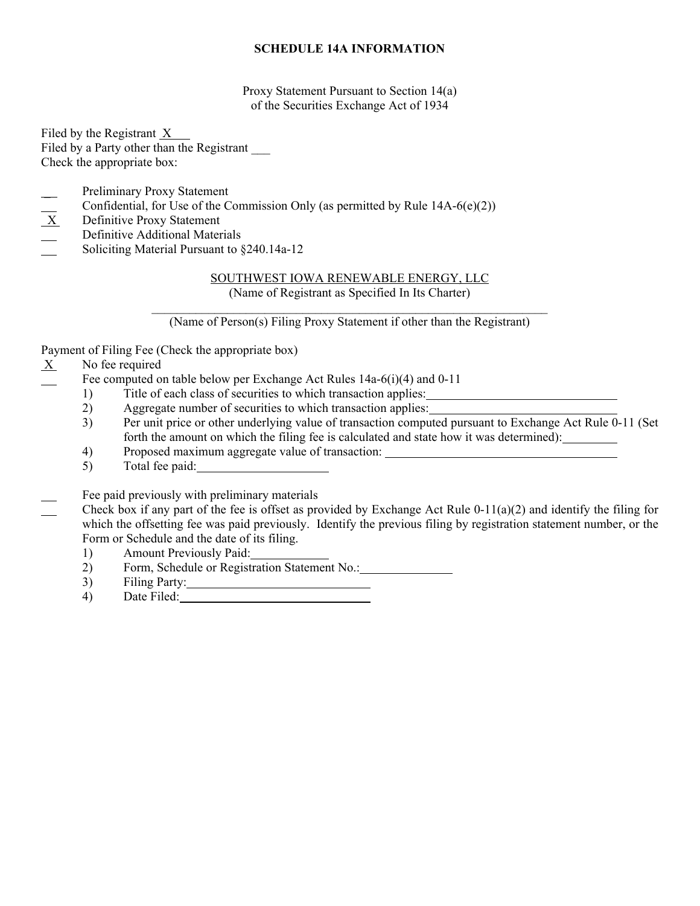# **SCHEDULE 14A INFORMATION**

Proxy Statement Pursuant to Section 14(a) of the Securities Exchange Act of 1934

Filed by the Registrant X Filed by a Party other than the Registrant Check the appropriate box:

- Preliminary Proxy Statement
- Confidential, for Use of the Commission Only (as permitted by Rule 14A-6(e)(2))<br>  $\underline{X}$  Definitive Proxy Statement
- Definitive Proxy Statement
- Definitive Additional Materials
- Soliciting Material Pursuant to §240.14a-12

# SOUTHWEST IOWA RENEWABLE ENERGY, LLC

(Name of Registrant as Specified In Its Charter)

(Name of Person(s) Filing Proxy Statement if other than the Registrant)

Payment of Filing Fee (Check the appropriate box)

 $X$  No fee required

Fee computed on table below per Exchange Act Rules 14a-6(i)(4) and 0-11

- 1) Title of each class of securities to which transaction applies:
- 2) Aggregate number of securities to which transaction applies:
- 3) Per unit price or other underlying value of transaction computed pursuant to Exchange Act Rule 0-11 (Set forth the amount on which the filing fee is calculated and state how it was determined):
- 4) Proposed maximum aggregate value of transaction:
- 5) Total fee paid:
- Fee paid previously with preliminary materials
	- Check box if any part of the fee is offset as provided by Exchange Act Rule 0-11(a)(2) and identify the filing for which the offsetting fee was paid previously. Identify the previous filing by registration statement number, or the Form or Schedule and the date of its filing.
		- 1) Amount Previously Paid:
		- 2) Form, Schedule or Registration Statement No.:
		- 3) Filing Party:
		- 4) Date Filed: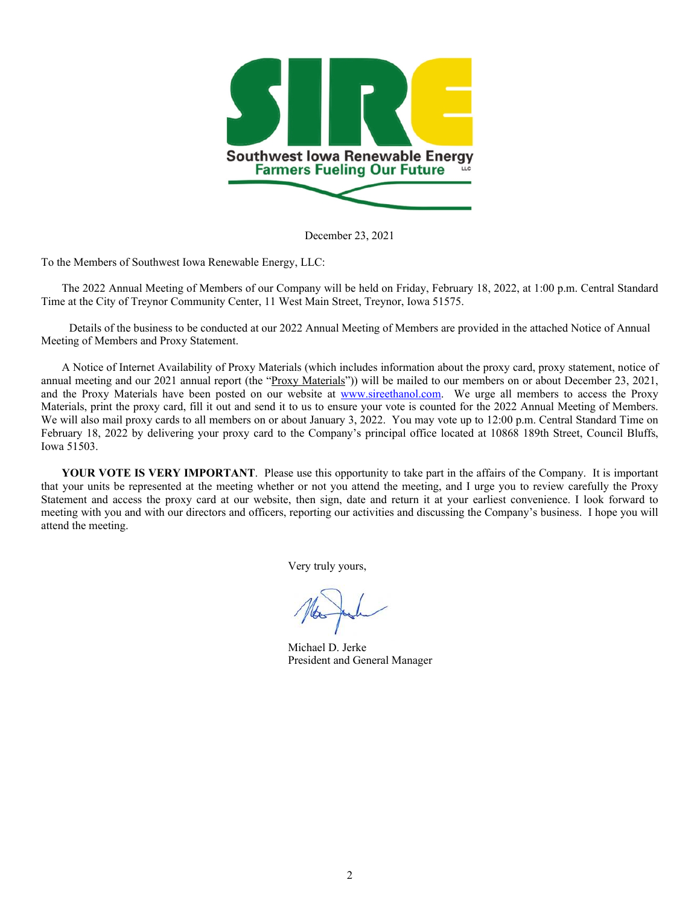

December 23, 2021

To the Members of Southwest Iowa Renewable Energy, LLC:

The 2022 Annual Meeting of Members of our Company will be held on Friday, February 18, 2022, at 1:00 p.m. Central Standard Time at the City of Treynor Community Center, 11 West Main Street, Treynor, Iowa 51575.

Details of the business to be conducted at our 2022 Annual Meeting of Members are provided in the attached Notice of Annual Meeting of Members and Proxy Statement.

A Notice of Internet Availability of Proxy Materials (which includes information about the proxy card, proxy statement, notice of annual meeting and our 2021 annual report (the "Proxy Materials")) will be mailed to our members on or about December 23, 2021, and the Proxy Materials have been posted on our website at www.sireethanol.com. We urge all members to access the Proxy Materials, print the proxy card, fill it out and send it to us to ensure your vote is counted for the 2022 Annual Meeting of Members. We will also mail proxy cards to all members on or about January 3, 2022. You may vote up to 12:00 p.m. Central Standard Time on February 18, 2022 by delivering your proxy card to the Company's principal office located at 10868 189th Street, Council Bluffs, Iowa 51503.

YOUR VOTE IS VERY IMPORTANT. Please use this opportunity to take part in the affairs of the Company. It is important that your units be represented at the meeting whether or not you attend the meeting, and I urge you to review carefully the Proxy Statement and access the proxy card at our website, then sign, date and return it at your earliest convenience. I look forward to meeting with you and with our directors and officers, reporting our activities and discussing the Company's business. I hope you will attend the meeting.

Very truly yours,

Michael D. Jerke President and General Manager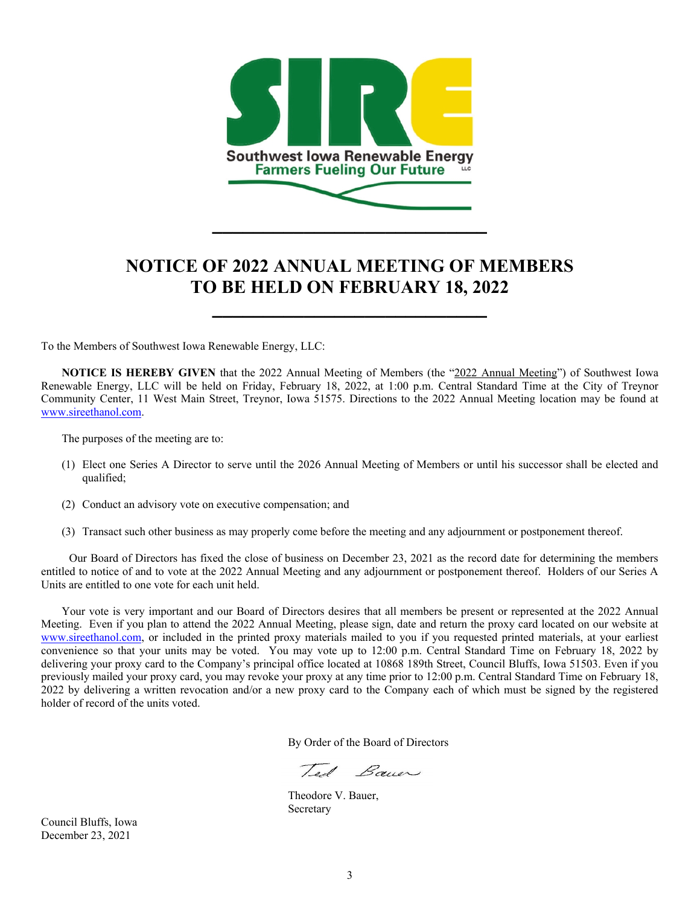

# **NOTICE OF 2022 ANNUAL MEETING OF MEMBERS TO BE HELD ON FEBRUARY 18, 2022**

**\_\_\_\_\_\_\_\_\_\_\_\_\_\_\_\_\_\_\_\_\_\_\_\_\_\_\_** 

To the Members of Southwest Iowa Renewable Energy, LLC:

**NOTICE IS HEREBY GIVEN** that the 2022 Annual Meeting of Members (the "2022 Annual Meeting") of Southwest Iowa Renewable Energy, LLC will be held on Friday, February 18, 2022, at 1:00 p.m. Central Standard Time at the City of Treynor Community Center, 11 West Main Street, Treynor, Iowa 51575. Directions to the 2022 Annual Meeting location may be found at www.sireethanol.com.

The purposes of the meeting are to:

- (1) Elect one Series A Director to serve until the 2026 Annual Meeting of Members or until his successor shall be elected and qualified;
- (2) Conduct an advisory vote on executive compensation; and
- (3) Transact such other business as may properly come before the meeting and any adjournment or postponement thereof.

Our Board of Directors has fixed the close of business on December 23, 2021 as the record date for determining the members entitled to notice of and to vote at the 2022 Annual Meeting and any adjournment or postponement thereof. Holders of our Series A Units are entitled to one vote for each unit held.

Your vote is very important and our Board of Directors desires that all members be present or represented at the 2022 Annual Meeting. Even if you plan to attend the 2022 Annual Meeting, please sign, date and return the proxy card located on our website at www.sireethanol.com, or included in the printed proxy materials mailed to you if you requested printed materials, at your earliest convenience so that your units may be voted. You may vote up to 12:00 p.m. Central Standard Time on February 18, 2022 by delivering your proxy card to the Company's principal office located at 10868 189th Street, Council Bluffs, Iowa 51503. Even if you previously mailed your proxy card, you may revoke your proxy at any time prior to 12:00 p.m. Central Standard Time on February 18, 2022 by delivering a written revocation and/or a new proxy card to the Company each of which must be signed by the registered holder of record of the units voted.

By Order of the Board of Directors

Tel Baner

 Theodore V. Bauer, Secretary

Council Bluffs, Iowa December 23, 2021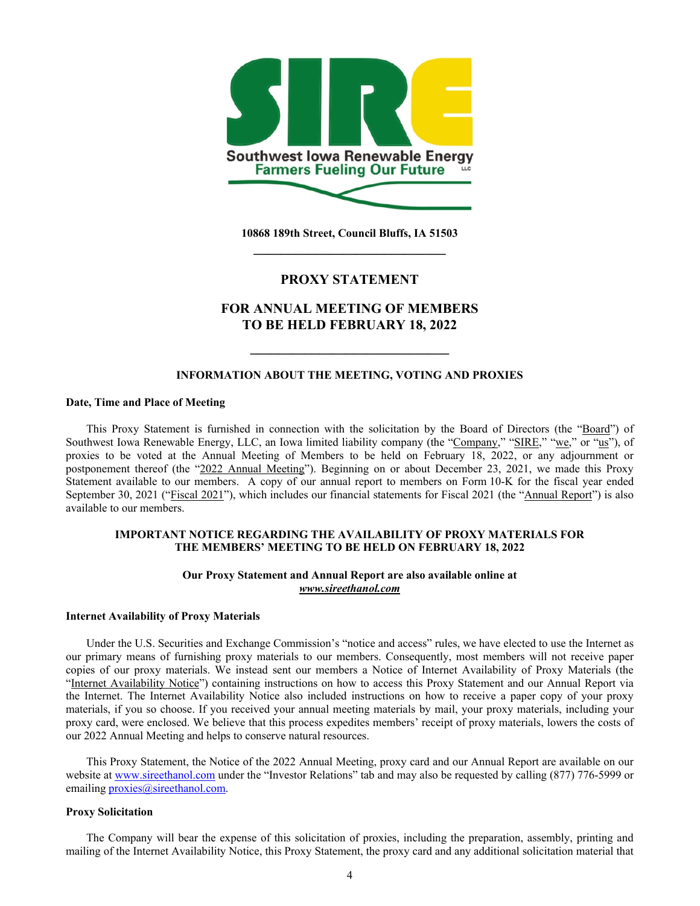

**10868 189th Street, Council Bluffs, IA 51503 \_\_\_\_\_\_\_\_\_\_\_\_\_\_\_\_\_\_\_\_\_\_\_\_\_\_\_\_** 

# **PROXY STATEMENT**

# **FOR ANNUAL MEETING OF MEMBERS TO BE HELD FEBRUARY 18, 2022**

### **INFORMATION ABOUT THE MEETING, VOTING AND PROXIES**

**\_\_\_\_\_\_\_\_\_\_\_\_\_\_\_\_\_\_\_\_\_\_\_\_\_\_\_\_\_** 

## **Date, Time and Place of Meeting**

This Proxy Statement is furnished in connection with the solicitation by the Board of Directors (the "Board") of Southwest Iowa Renewable Energy, LLC, an Iowa limited liability company (the "Company," "SIRE," "we," or "us"), of proxies to be voted at the Annual Meeting of Members to be held on February 18, 2022, or any adjournment or postponement thereof (the "2022 Annual Meeting"). Beginning on or about December 23, 2021, we made this Proxy Statement available to our members. A copy of our annual report to members on Form 10-K for the fiscal year ended September 30, 2021 ("Fiscal 2021"), which includes our financial statements for Fiscal 2021 (the "Annual Report") is also available to our members.

## **IMPORTANT NOTICE REGARDING THE AVAILABILITY OF PROXY MATERIALS FOR THE MEMBERS' MEETING TO BE HELD ON FEBRUARY 18, 2022**

## **Our Proxy Statement and Annual Report are also available online at**  *www.sireethanol.com*

#### **Internet Availability of Proxy Materials**

Under the U.S. Securities and Exchange Commission's "notice and access" rules, we have elected to use the Internet as our primary means of furnishing proxy materials to our members. Consequently, most members will not receive paper copies of our proxy materials. We instead sent our members a Notice of Internet Availability of Proxy Materials (the "Internet Availability Notice") containing instructions on how to access this Proxy Statement and our Annual Report via the Internet. The Internet Availability Notice also included instructions on how to receive a paper copy of your proxy materials, if you so choose. If you received your annual meeting materials by mail, your proxy materials, including your proxy card, were enclosed. We believe that this process expedites members' receipt of proxy materials, lowers the costs of our 2022 Annual Meeting and helps to conserve natural resources.

This Proxy Statement, the Notice of the 2022 Annual Meeting, proxy card and our Annual Report are available on our website at www.sireethanol.com under the "Investor Relations" tab and may also be requested by calling (877) 776-5999 or emailing *proxies@sireethanol.com.* 

## **Proxy Solicitation**

The Company will bear the expense of this solicitation of proxies, including the preparation, assembly, printing and mailing of the Internet Availability Notice, this Proxy Statement, the proxy card and any additional solicitation material that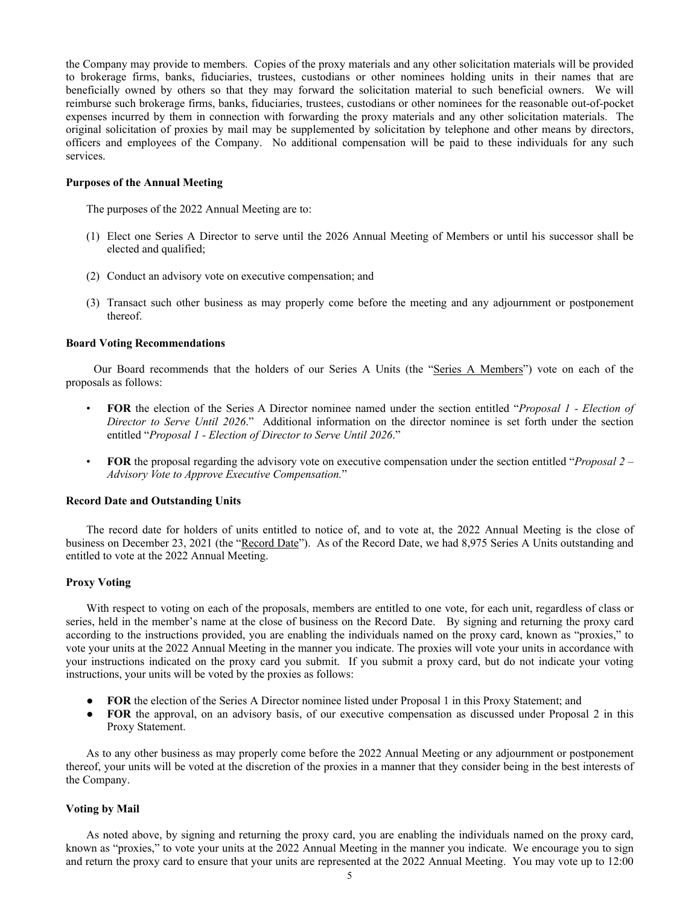the Company may provide to members. Copies of the proxy materials and any other solicitation materials will be provided to brokerage firms, banks, fiduciaries, trustees, custodians or other nominees holding units in their names that are beneficially owned by others so that they may forward the solicitation material to such beneficial owners. We will reimburse such brokerage firms, banks, fiduciaries, trustees, custodians or other nominees for the reasonable out-of-pocket expenses incurred by them in connection with forwarding the proxy materials and any other solicitation materials. The original solicitation of proxies by mail may be supplemented by solicitation by telephone and other means by directors, officers and employees of the Company. No additional compensation will be paid to these individuals for any such services.

## **Purposes of the Annual Meeting**

The purposes of the 2022 Annual Meeting are to:

- (1) Elect one Series A Director to serve until the 2026 Annual Meeting of Members or until his successor shall be elected and qualified;
- (2) Conduct an advisory vote on executive compensation; and
- (3) Transact such other business as may properly come before the meeting and any adjournment or postponement thereof.

#### **Board Voting Recommendations**

Our Board recommends that the holders of our Series A Units (the "Series A Members") vote on each of the proposals as follows:

- **FOR** the election of the Series A Director nominee named under the section entitled "*Proposal 1 Election of Director to Serve Until 2026*." Additional information on the director nominee is set forth under the section entitled "*Proposal 1 - Election of Director to Serve Until 2026*."
- **FOR** the proposal regarding the advisory vote on executive compensation under the section entitled "*Proposal 2 Advisory Vote to Approve Executive Compensation.*"

#### **Record Date and Outstanding Units**

The record date for holders of units entitled to notice of, and to vote at, the 2022 Annual Meeting is the close of business on December 23, 2021 (the "Record Date"). As of the Record Date, we had 8,975 Series A Units outstanding and entitled to vote at the 2022 Annual Meeting.

#### **Proxy Voting**

With respect to voting on each of the proposals, members are entitled to one vote, for each unit, regardless of class or series, held in the member's name at the close of business on the Record Date. By signing and returning the proxy card according to the instructions provided, you are enabling the individuals named on the proxy card, known as "proxies," to vote your units at the 2022 Annual Meeting in the manner you indicate. The proxies will vote your units in accordance with your instructions indicated on the proxy card you submit. If you submit a proxy card, but do not indicate your voting instructions, your units will be voted by the proxies as follows:

- **FOR** the election of the Series A Director nominee listed under Proposal 1 in this Proxy Statement; and
- **FOR** the approval, on an advisory basis, of our executive compensation as discussed under Proposal 2 in this Proxy Statement.

As to any other business as may properly come before the 2022 Annual Meeting or any adjournment or postponement thereof, your units will be voted at the discretion of the proxies in a manner that they consider being in the best interests of the Company.

## **Voting by Mail**

As noted above, by signing and returning the proxy card, you are enabling the individuals named on the proxy card, known as "proxies," to vote your units at the 2022 Annual Meeting in the manner you indicate. We encourage you to sign and return the proxy card to ensure that your units are represented at the 2022 Annual Meeting.You may vote up to 12:00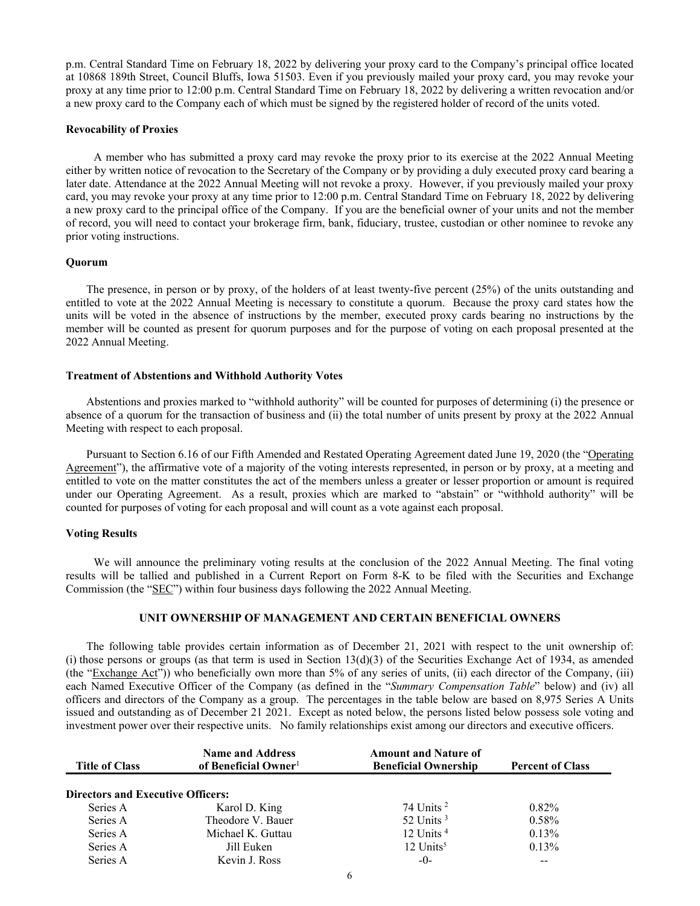p.m. Central Standard Time on February 18, 2022 by delivering your proxy card to the Company's principal office located at 10868 189th Street, Council Bluffs, Iowa 51503. Even if you previously mailed your proxy card, you may revoke your proxy at any time prior to 12:00 p.m. Central Standard Time on February 18, 2022 by delivering a written revocation and/or a new proxy card to the Company each of which must be signed by the registered holder of record of the units voted.

#### **Revocability of Proxies**

A member who has submitted a proxy card may revoke the proxy prior to its exercise at the 2022 Annual Meeting either by written notice of revocation to the Secretary of the Company or by providing a duly executed proxy card bearing a later date. Attendance at the 2022 Annual Meeting will not revoke a proxy. However, if you previously mailed your proxy card, you may revoke your proxy at any time prior to 12:00 p.m. Central Standard Time on February 18, 2022 by delivering a new proxy card to the principal office of the Company. If you are the beneficial owner of your units and not the member of record, you will need to contact your brokerage firm, bank, fiduciary, trustee, custodian or other nominee to revoke any prior voting instructions.

### **Quorum**

The presence, in person or by proxy, of the holders of at least twenty-five percent (25%) of the units outstanding and entitled to vote at the 2022 Annual Meeting is necessary to constitute a quorum. Because the proxy card states how the units will be voted in the absence of instructions by the member, executed proxy cards bearing no instructions by the member will be counted as present for quorum purposes and for the purpose of voting on each proposal presented at the 2022 Annual Meeting.

### **Treatment of Abstentions and Withhold Authority Votes**

Abstentions and proxies marked to "withhold authority" will be counted for purposes of determining (i) the presence or absence of a quorum for the transaction of business and (ii) the total number of units present by proxy at the 2022 Annual Meeting with respect to each proposal.

Pursuant to Section 6.16 of our Fifth Amended and Restated Operating Agreement dated June 19, 2020 (the "Operating Agreement"), the affirmative vote of a majority of the voting interests represented, in person or by proxy, at a meeting and entitled to vote on the matter constitutes the act of the members unless a greater or lesser proportion or amount is required under our Operating Agreement. As a result, proxies which are marked to "abstain" or "withhold authority" will be counted for purposes of voting for each proposal and will count as a vote against each proposal.

#### **Voting Results**

We will announce the preliminary voting results at the conclusion of the 2022 Annual Meeting. The final voting results will be tallied and published in a Current Report on Form 8-K to be filed with the Securities and Exchange Commission (the "SEC") within four business days following the 2022 Annual Meeting.

## **UNIT OWNERSHIP OF MANAGEMENT AND CERTAIN BENEFICIAL OWNERS**

The following table provides certain information as of December 21, 2021 with respect to the unit ownership of: (i) those persons or groups (as that term is used in Section 13(d)(3) of the Securities Exchange Act of 1934, as amended (the "Exchange Act")) who beneficially own more than 5% of any series of units, (ii) each director of the Company, (iii) each Named Executive Officer of the Company (as defined in the "*Summary Compensation Table*" below) and (iv) all officers and directors of the Company as a group. The percentages in the table below are based on 8,975 Series A Units issued and outstanding as of December 21 2021. Except as noted below, the persons listed below possess sole voting and investment power over their respective units. No family relationships exist among our directors and executive officers.

| <b>Title of Class</b>                    | <b>Name and Address</b><br>of Beneficial Owner <sup>1</sup> | <b>Amount and Nature of</b><br><b>Beneficial Ownership</b> | <b>Percent of Class</b> |
|------------------------------------------|-------------------------------------------------------------|------------------------------------------------------------|-------------------------|
| <b>Directors and Executive Officers:</b> |                                                             |                                                            |                         |
| Series A                                 | Karol D. King                                               | $74$ Units $^2$                                            | $0.82\%$                |
| Series A                                 | Theodore V. Bauer                                           | 52 Units $3$                                               | 0.58%                   |
| Series A                                 | Michael K. Guttau                                           | 12 Units $4$                                               | 0.13%                   |
| Series A                                 | Jill Euken                                                  | $12$ Units <sup>5</sup>                                    | $0.13\%$                |
| Series A                                 | Kevin J. Ross                                               | $-0-$                                                      | --                      |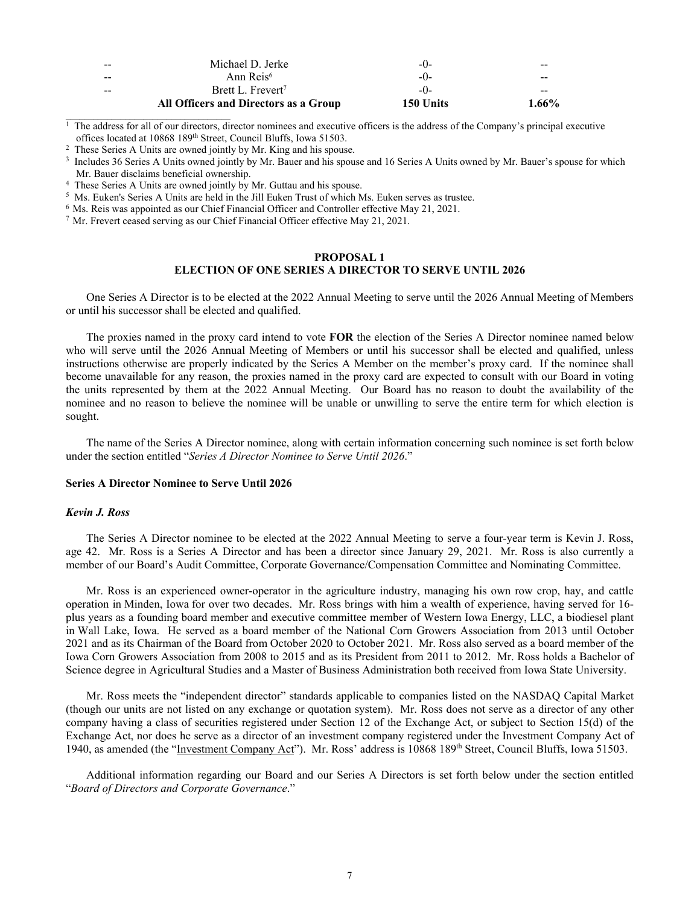|       | All Officers and Directors as a Group | 150 Units | $1.66\%$ |
|-------|---------------------------------------|-----------|----------|
| $- -$ | Brett L. Frevert <sup>7</sup>         | $-()$     | --       |
| $- -$ | Ann Reis <sup>6</sup>                 | $-()$     | --       |
| $- -$ | Michael D. Jerke                      | $-()$     | --       |

 $<sup>1</sup>$  The address for all of our directors, director nominees and executive officers is the address of the Company's principal executive</sup> offices located at 10868 189<sup>th</sup> Street, Council Bluffs, Iowa 51503.<br><sup>2</sup> These Series A Units are owned jointly by Mr. King and his spouse.

<sup>3</sup> Includes 36 Series A Units owned jointly by Mr. Bauer and his spouse and 16 Series A Units owned by Mr. Bauer's spouse for which Mr. Bauer disclaims beneficial ownership.<br>
<sup>4</sup> These Series A Units are owned jointly by Mr. Guttau and his spouse.<br>
<sup>5</sup> Ms. Euken's Series A Units are held in the Jill Euken Trust of which Ms. Euken serves as trustee.<br>
<sup></sup>

## **PROPOSAL 1 ELECTION OF ONE SERIES A DIRECTOR TO SERVE UNTIL 2026**

One Series A Director is to be elected at the 2022 Annual Meeting to serve until the 2026 Annual Meeting of Members or until his successor shall be elected and qualified.

The proxies named in the proxy card intend to vote **FOR** the election of the Series A Director nominee named below who will serve until the 2026 Annual Meeting of Members or until his successor shall be elected and qualified, unless instructions otherwise are properly indicated by the Series A Member on the member's proxy card. If the nominee shall become unavailable for any reason, the proxies named in the proxy card are expected to consult with our Board in voting the units represented by them at the 2022 Annual Meeting. Our Board has no reason to doubt the availability of the nominee and no reason to believe the nominee will be unable or unwilling to serve the entire term for which election is sought.

The name of the Series A Director nominee, along with certain information concerning such nominee is set forth below under the section entitled "*Series A Director Nominee to Serve Until 2026*."

## **Series A Director Nominee to Serve Until 2026**

## *Kevin J. Ross*

The Series A Director nominee to be elected at the 2022 Annual Meeting to serve a four-year term is Kevin J. Ross, age 42. Mr. Ross is a Series A Director and has been a director since January 29, 2021. Mr. Ross is also currently a member of our Board's Audit Committee, Corporate Governance/Compensation Committee and Nominating Committee.

Mr. Ross is an experienced owner-operator in the agriculture industry, managing his own row crop, hay, and cattle operation in Minden, Iowa for over two decades. Mr. Ross brings with him a wealth of experience, having served for 16 plus years as a founding board member and executive committee member of Western Iowa Energy, LLC, a biodiesel plant in Wall Lake, Iowa. He served as a board member of the National Corn Growers Association from 2013 until October 2021 and as its Chairman of the Board from October 2020 to October 2021. Mr. Ross also served as a board member of the Iowa Corn Growers Association from 2008 to 2015 and as its President from 2011 to 2012. Mr. Ross holds a Bachelor of Science degree in Agricultural Studies and a Master of Business Administration both received from Iowa State University.

Mr. Ross meets the "independent director" standards applicable to companies listed on the NASDAQ Capital Market (though our units are not listed on any exchange or quotation system). Mr. Ross does not serve as a director of any other company having a class of securities registered under Section 12 of the Exchange Act, or subject to Section 15(d) of the Exchange Act, nor does he serve as a director of an investment company registered under the Investment Company Act of 1940, as amended (the "Investment Company Act"). Mr. Ross' address is 10868 189<sup>th</sup> Street, Council Bluffs, Iowa 51503.

Additional information regarding our Board and our Series A Directors is set forth below under the section entitled "*Board of Directors and Corporate Governance*."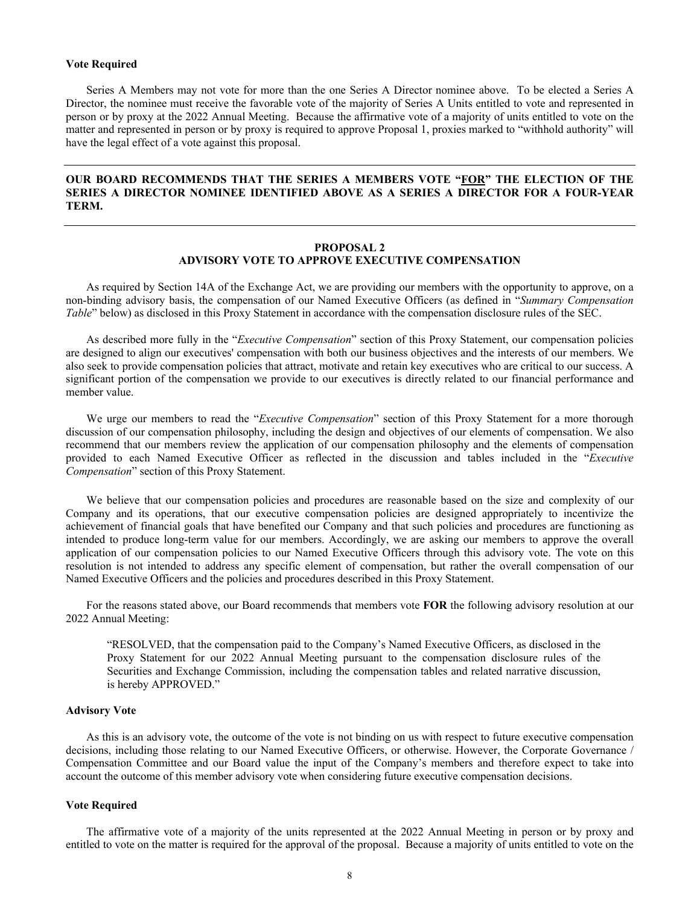## **Vote Required**

 Series A Members may not vote for more than the one Series A Director nominee above. To be elected a Series A Director, the nominee must receive the favorable vote of the majority of Series A Units entitled to vote and represented in person or by proxy at the 2022 Annual Meeting. Because the affirmative vote of a majority of units entitled to vote on the matter and represented in person or by proxy is required to approve Proposal 1, proxies marked to "withhold authority" will have the legal effect of a vote against this proposal.

## **OUR BOARD RECOMMENDS THAT THE SERIES A MEMBERS VOTE "FOR" THE ELECTION OF THE SERIES A DIRECTOR NOMINEE IDENTIFIED ABOVE AS A SERIES A DIRECTOR FOR A FOUR-YEAR TERM.**

## **PROPOSAL 2 ADVISORY VOTE TO APPROVE EXECUTIVE COMPENSATION**

As required by Section 14A of the Exchange Act, we are providing our members with the opportunity to approve, on a non-binding advisory basis, the compensation of our Named Executive Officers (as defined in "*Summary Compensation Table*" below) as disclosed in this Proxy Statement in accordance with the compensation disclosure rules of the SEC.

As described more fully in the "*Executive Compensation*" section of this Proxy Statement, our compensation policies are designed to align our executives' compensation with both our business objectives and the interests of our members. We also seek to provide compensation policies that attract, motivate and retain key executives who are critical to our success. A significant portion of the compensation we provide to our executives is directly related to our financial performance and member value.

We urge our members to read the "*Executive Compensation*" section of this Proxy Statement for a more thorough discussion of our compensation philosophy, including the design and objectives of our elements of compensation. We also recommend that our members review the application of our compensation philosophy and the elements of compensation provided to each Named Executive Officer as reflected in the discussion and tables included in the "*Executive Compensation*" section of this Proxy Statement.

We believe that our compensation policies and procedures are reasonable based on the size and complexity of our Company and its operations, that our executive compensation policies are designed appropriately to incentivize the achievement of financial goals that have benefited our Company and that such policies and procedures are functioning as intended to produce long-term value for our members. Accordingly, we are asking our members to approve the overall application of our compensation policies to our Named Executive Officers through this advisory vote. The vote on this resolution is not intended to address any specific element of compensation, but rather the overall compensation of our Named Executive Officers and the policies and procedures described in this Proxy Statement.

For the reasons stated above, our Board recommends that members vote **FOR** the following advisory resolution at our 2022 Annual Meeting:

"RESOLVED, that the compensation paid to the Company's Named Executive Officers, as disclosed in the Proxy Statement for our 2022 Annual Meeting pursuant to the compensation disclosure rules of the Securities and Exchange Commission, including the compensation tables and related narrative discussion, is hereby APPROVED."

## **Advisory Vote**

As this is an advisory vote, the outcome of the vote is not binding on us with respect to future executive compensation decisions, including those relating to our Named Executive Officers, or otherwise. However, the Corporate Governance / Compensation Committee and our Board value the input of the Company's members and therefore expect to take into account the outcome of this member advisory vote when considering future executive compensation decisions.

## **Vote Required**

The affirmative vote of a majority of the units represented at the 2022 Annual Meeting in person or by proxy and entitled to vote on the matter is required for the approval of the proposal. Because a majority of units entitled to vote on the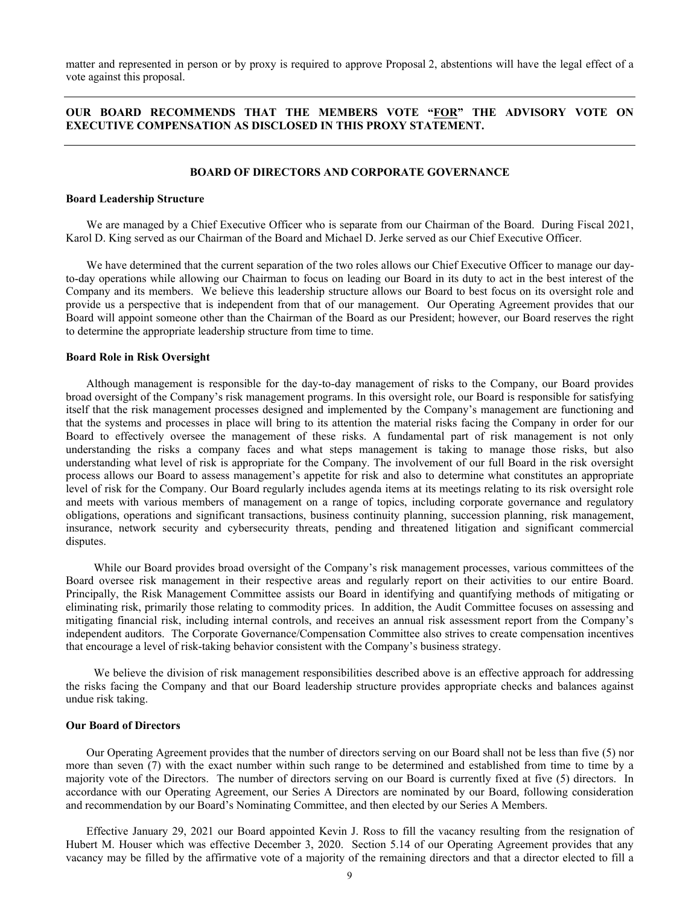matter and represented in person or by proxy is required to approve Proposal 2, abstentions will have the legal effect of a vote against this proposal.

## **OUR BOARD RECOMMENDS THAT THE MEMBERS VOTE "FOR" THE ADVISORY VOTE ON EXECUTIVE COMPENSATION AS DISCLOSED IN THIS PROXY STATEMENT.**

#### **BOARD OF DIRECTORS AND CORPORATE GOVERNANCE**

#### **Board Leadership Structure**

We are managed by a Chief Executive Officer who is separate from our Chairman of the Board. During Fiscal 2021, Karol D. King served as our Chairman of the Board and Michael D. Jerke served as our Chief Executive Officer.

We have determined that the current separation of the two roles allows our Chief Executive Officer to manage our dayto-day operations while allowing our Chairman to focus on leading our Board in its duty to act in the best interest of the Company and its members. We believe this leadership structure allows our Board to best focus on its oversight role and provide us a perspective that is independent from that of our management. Our Operating Agreement provides that our Board will appoint someone other than the Chairman of the Board as our President; however, our Board reserves the right to determine the appropriate leadership structure from time to time.

## **Board Role in Risk Oversight**

Although management is responsible for the day-to-day management of risks to the Company, our Board provides broad oversight of the Company's risk management programs. In this oversight role, our Board is responsible for satisfying itself that the risk management processes designed and implemented by the Company's management are functioning and that the systems and processes in place will bring to its attention the material risks facing the Company in order for our Board to effectively oversee the management of these risks. A fundamental part of risk management is not only understanding the risks a company faces and what steps management is taking to manage those risks, but also understanding what level of risk is appropriate for the Company. The involvement of our full Board in the risk oversight process allows our Board to assess management's appetite for risk and also to determine what constitutes an appropriate level of risk for the Company. Our Board regularly includes agenda items at its meetings relating to its risk oversight role and meets with various members of management on a range of topics, including corporate governance and regulatory obligations, operations and significant transactions, business continuity planning, succession planning, risk management, insurance, network security and cybersecurity threats, pending and threatened litigation and significant commercial disputes.

While our Board provides broad oversight of the Company's risk management processes, various committees of the Board oversee risk management in their respective areas and regularly report on their activities to our entire Board. Principally, the Risk Management Committee assists our Board in identifying and quantifying methods of mitigating or eliminating risk, primarily those relating to commodity prices. In addition, the Audit Committee focuses on assessing and mitigating financial risk, including internal controls, and receives an annual risk assessment report from the Company's independent auditors. The Corporate Governance/Compensation Committee also strives to create compensation incentives that encourage a level of risk-taking behavior consistent with the Company's business strategy.

We believe the division of risk management responsibilities described above is an effective approach for addressing the risks facing the Company and that our Board leadership structure provides appropriate checks and balances against undue risk taking.

## **Our Board of Directors**

Our Operating Agreement provides that the number of directors serving on our Board shall not be less than five (5) nor more than seven (7) with the exact number within such range to be determined and established from time to time by a majority vote of the Directors. The number of directors serving on our Board is currently fixed at five (5) directors. In accordance with our Operating Agreement, our Series A Directors are nominated by our Board, following consideration and recommendation by our Board's Nominating Committee, and then elected by our Series A Members.

Effective January 29, 2021 our Board appointed Kevin J. Ross to fill the vacancy resulting from the resignation of Hubert M. Houser which was effective December 3, 2020. Section 5.14 of our Operating Agreement provides that any vacancy may be filled by the affirmative vote of a majority of the remaining directors and that a director elected to fill a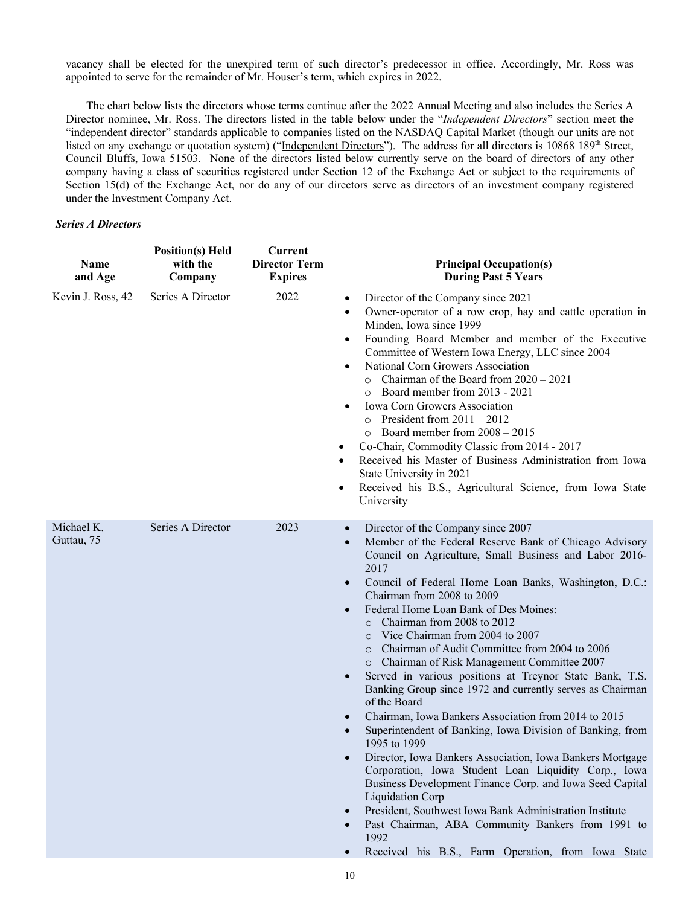vacancy shall be elected for the unexpired term of such director's predecessor in office. Accordingly, Mr. Ross was appointed to serve for the remainder of Mr. Houser's term, which expires in 2022.

The chart below lists the directors whose terms continue after the 2022 Annual Meeting and also includes the Series A Director nominee, Mr. Ross. The directors listed in the table below under the "*Independent Directors*" section meet the "independent director" standards applicable to companies listed on the NASDAQ Capital Market (though our units are not listed on any exchange or quotation system) ("Independent Directors"). The address for all directors is 10868 189<sup>th</sup> Street, Council Bluffs, Iowa 51503. None of the directors listed below currently serve on the board of directors of any other company having a class of securities registered under Section 12 of the Exchange Act or subject to the requirements of Section 15(d) of the Exchange Act, nor do any of our directors serve as directors of an investment company registered under the Investment Company Act.

## *Series A Directors*

| Name<br>and Age          | <b>Position(s)</b> Held<br>with the<br>Company | <b>Current</b><br><b>Director Term</b><br><b>Expires</b> | <b>Principal Occupation(s)</b><br><b>During Past 5 Years</b>                                                                                                                                                                                                                                                                                                                                                                                                                                                                                                                                                                                                                                                                                                                                                                                                                                                                                                                                                                                                                                                                                                |
|--------------------------|------------------------------------------------|----------------------------------------------------------|-------------------------------------------------------------------------------------------------------------------------------------------------------------------------------------------------------------------------------------------------------------------------------------------------------------------------------------------------------------------------------------------------------------------------------------------------------------------------------------------------------------------------------------------------------------------------------------------------------------------------------------------------------------------------------------------------------------------------------------------------------------------------------------------------------------------------------------------------------------------------------------------------------------------------------------------------------------------------------------------------------------------------------------------------------------------------------------------------------------------------------------------------------------|
| Kevin J. Ross, 42        | Series A Director                              | 2022                                                     | Director of the Company since 2021<br>$\bullet$<br>Owner-operator of a row crop, hay and cattle operation in<br>$\bullet$<br>Minden, Iowa since 1999<br>Founding Board Member and member of the Executive<br>$\bullet$<br>Committee of Western Iowa Energy, LLC since 2004<br>National Corn Growers Association<br>$\circ$ Chairman of the Board from 2020 - 2021<br>o Board member from 2013 - 2021<br>Iowa Corn Growers Association<br>$\circ$ President from 2011 - 2012<br>$\circ$ Board member from 2008 - 2015<br>Co-Chair, Commodity Classic from 2014 - 2017<br>Received his Master of Business Administration from Iowa<br>٠<br>State University in 2021<br>Received his B.S., Agricultural Science, from Iowa State<br>٠<br>University                                                                                                                                                                                                                                                                                                                                                                                                            |
| Michael K.<br>Guttau, 75 | Series A Director                              | 2023                                                     | Director of the Company since 2007<br>$\bullet$<br>Member of the Federal Reserve Bank of Chicago Advisory<br>Council on Agriculture, Small Business and Labor 2016-<br>2017<br>Council of Federal Home Loan Banks, Washington, D.C.:<br>Chairman from 2008 to 2009<br>Federal Home Loan Bank of Des Moines:<br>o Chairman from 2008 to 2012<br>Vice Chairman from 2004 to 2007<br>$\Omega$<br>Chairman of Audit Committee from 2004 to 2006<br>o Chairman of Risk Management Committee 2007<br>Served in various positions at Treynor State Bank, T.S.<br>Banking Group since 1972 and currently serves as Chairman<br>of the Board<br>Chairman, Iowa Bankers Association from 2014 to 2015<br>Superintendent of Banking, Iowa Division of Banking, from<br>1995 to 1999<br>Director, Iowa Bankers Association, Iowa Bankers Mortgage<br>Corporation, Iowa Student Loan Liquidity Corp., Iowa<br>Business Development Finance Corp. and Iowa Seed Capital<br>Liquidation Corp<br>President, Southwest Iowa Bank Administration Institute<br>Past Chairman, ABA Community Bankers from 1991 to<br>1992<br>Received his B.S., Farm Operation, from Iowa State |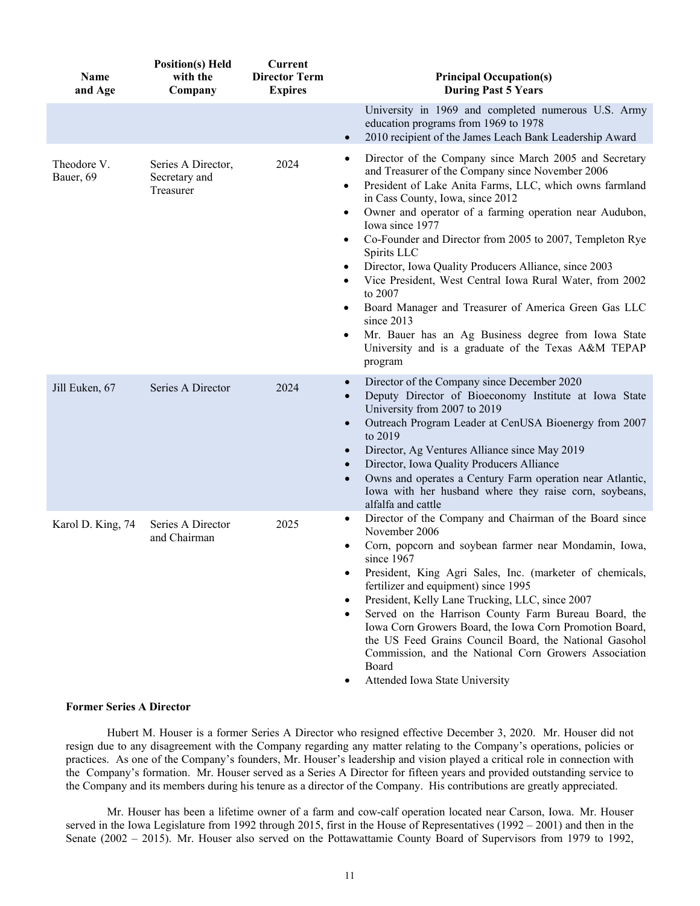| <b>Name</b><br>and Age   | <b>Position(s)</b> Held<br>with the<br>Company   | <b>Current</b><br><b>Director Term</b><br><b>Expires</b> | <b>Principal Occupation(s)</b><br><b>During Past 5 Years</b>                                                                                                                                                                                                                                                                                                                                                                                                                                                                                                                                                                                                                                                                                                            |
|--------------------------|--------------------------------------------------|----------------------------------------------------------|-------------------------------------------------------------------------------------------------------------------------------------------------------------------------------------------------------------------------------------------------------------------------------------------------------------------------------------------------------------------------------------------------------------------------------------------------------------------------------------------------------------------------------------------------------------------------------------------------------------------------------------------------------------------------------------------------------------------------------------------------------------------------|
|                          |                                                  |                                                          | University in 1969 and completed numerous U.S. Army<br>education programs from 1969 to 1978<br>2010 recipient of the James Leach Bank Leadership Award<br>$\bullet$                                                                                                                                                                                                                                                                                                                                                                                                                                                                                                                                                                                                     |
| Theodore V.<br>Bauer, 69 | Series A Director,<br>Secretary and<br>Treasurer | 2024                                                     | Director of the Company since March 2005 and Secretary<br>$\bullet$<br>and Treasurer of the Company since November 2006<br>President of Lake Anita Farms, LLC, which owns farmland<br>$\bullet$<br>in Cass County, Iowa, since 2012<br>Owner and operator of a farming operation near Audubon,<br>$\bullet$<br>Iowa since 1977<br>Co-Founder and Director from 2005 to 2007, Templeton Rye<br>$\bullet$<br>Spirits LLC<br>Director, Iowa Quality Producers Alliance, since 2003<br>$\bullet$<br>Vice President, West Central Iowa Rural Water, from 2002<br>٠<br>to 2007<br>Board Manager and Treasurer of America Green Gas LLC<br>since 2013<br>Mr. Bauer has an Ag Business degree from Iowa State<br>University and is a graduate of the Texas A&M TEPAP<br>program |
| Jill Euken, 67           | Series A Director                                | 2024                                                     | Director of the Company since December 2020<br>$\bullet$<br>Deputy Director of Bioeconomy Institute at Iowa State<br>University from 2007 to 2019<br>Outreach Program Leader at CenUSA Bioenergy from 2007<br>$\bullet$<br>to 2019<br>Director, Ag Ventures Alliance since May 2019<br>$\bullet$<br>Director, Iowa Quality Producers Alliance<br>$\bullet$<br>Owns and operates a Century Farm operation near Atlantic,<br>$\bullet$<br>Iowa with her husband where they raise corn, soybeans,<br>alfalfa and cattle                                                                                                                                                                                                                                                    |
| Karol D. King, 74        | Series A Director<br>and Chairman                | 2025                                                     | Director of the Company and Chairman of the Board since<br>November 2006<br>Corn, popcorn and soybean farmer near Mondamin, Iowa,<br>since $1967$<br>President, King Agri Sales, Inc. (marketer of chemicals,<br>fertilizer and equipment) since 1995<br>President, Kelly Lane Trucking, LLC, since 2007<br>$\bullet$<br>Served on the Harrison County Farm Bureau Board, the<br>$\bullet$<br>Iowa Corn Growers Board, the Iowa Corn Promotion Board,<br>the US Feed Grains Council Board, the National Gasohol<br>Commission, and the National Corn Growers Association<br>Board<br>Attended Iowa State University<br>٠                                                                                                                                                |

#### **Former Series A Director**

Hubert M. Houser is a former Series A Director who resigned effective December 3, 2020. Mr. Houser did not resign due to any disagreement with the Company regarding any matter relating to the Company's operations, policies or practices. As one of the Company's founders, Mr. Houser's leadership and vision played a critical role in connection with the Company's formation. Mr. Houser served as a Series A Director for fifteen years and provided outstanding service to the Company and its members during his tenure as a director of the Company. His contributions are greatly appreciated.

 Mr. Houser has been a lifetime owner of a farm and cow-calf operation located near Carson, Iowa. Mr. Houser served in the Iowa Legislature from 1992 through 2015, first in the House of Representatives (1992 – 2001) and then in the Senate (2002 – 2015). Mr. Houser also served on the Pottawattamie County Board of Supervisors from 1979 to 1992,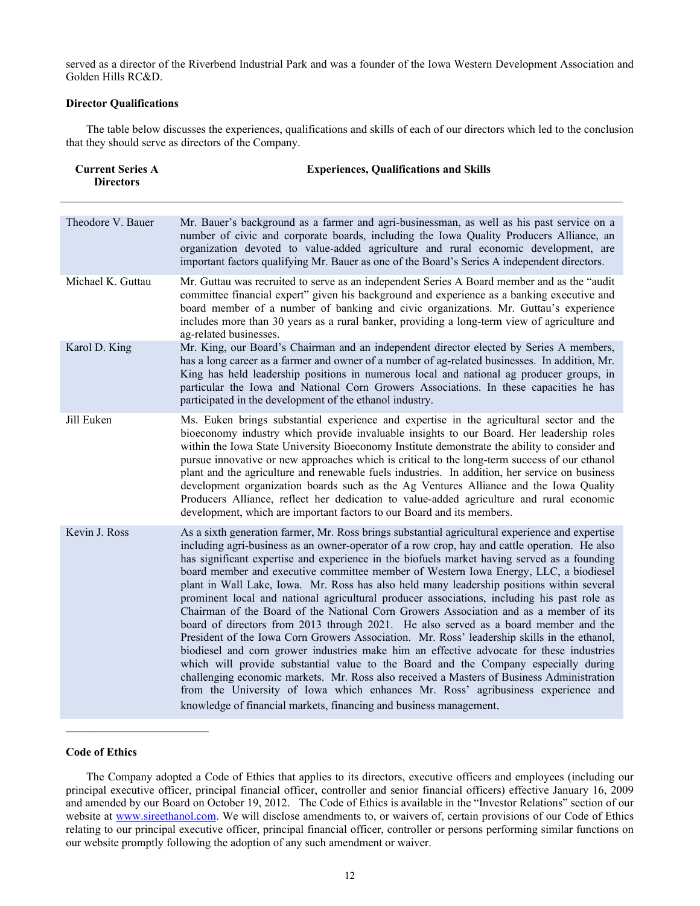served as a director of the Riverbend Industrial Park and was a founder of the Iowa Western Development Association and Golden Hills RC&D.

## **Director Qualifications**

The table below discusses the experiences, qualifications and skills of each of our directors which led to the conclusion that they should serve as directors of the Company.

| <b>Current Series A</b><br><b>Directors</b> | <b>Experiences, Qualifications and Skills</b>                                                                                                                                                                                                                                                                                                                                                                                                                                                                                                                                                                                                                                                                                                                                                                                                                                                                                                                                                                                                                                                                                                                                                                                                                                                                |
|---------------------------------------------|--------------------------------------------------------------------------------------------------------------------------------------------------------------------------------------------------------------------------------------------------------------------------------------------------------------------------------------------------------------------------------------------------------------------------------------------------------------------------------------------------------------------------------------------------------------------------------------------------------------------------------------------------------------------------------------------------------------------------------------------------------------------------------------------------------------------------------------------------------------------------------------------------------------------------------------------------------------------------------------------------------------------------------------------------------------------------------------------------------------------------------------------------------------------------------------------------------------------------------------------------------------------------------------------------------------|
| Theodore V. Bauer                           | Mr. Bauer's background as a farmer and agri-businessman, as well as his past service on a<br>number of civic and corporate boards, including the Iowa Quality Producers Alliance, an<br>organization devoted to value-added agriculture and rural economic development, are<br>important factors qualifying Mr. Bauer as one of the Board's Series A independent directors.                                                                                                                                                                                                                                                                                                                                                                                                                                                                                                                                                                                                                                                                                                                                                                                                                                                                                                                                  |
| Michael K. Guttau                           | Mr. Guttau was recruited to serve as an independent Series A Board member and as the "audit<br>committee financial expert" given his background and experience as a banking executive and<br>board member of a number of banking and civic organizations. Mr. Guttau's experience<br>includes more than 30 years as a rural banker, providing a long-term view of agriculture and<br>ag-related businesses.                                                                                                                                                                                                                                                                                                                                                                                                                                                                                                                                                                                                                                                                                                                                                                                                                                                                                                  |
| Karol D. King                               | Mr. King, our Board's Chairman and an independent director elected by Series A members,<br>has a long career as a farmer and owner of a number of ag-related businesses. In addition, Mr.<br>King has held leadership positions in numerous local and national ag producer groups, in<br>particular the Iowa and National Corn Growers Associations. In these capacities he has<br>participated in the development of the ethanol industry.                                                                                                                                                                                                                                                                                                                                                                                                                                                                                                                                                                                                                                                                                                                                                                                                                                                                  |
| Jill Euken                                  | Ms. Euken brings substantial experience and expertise in the agricultural sector and the<br>bioeconomy industry which provide invaluable insights to our Board. Her leadership roles<br>within the Iowa State University Bioeconomy Institute demonstrate the ability to consider and<br>pursue innovative or new approaches which is critical to the long-term success of our ethanol<br>plant and the agriculture and renewable fuels industries. In addition, her service on business<br>development organization boards such as the Ag Ventures Alliance and the Iowa Quality<br>Producers Alliance, reflect her dedication to value-added agriculture and rural economic<br>development, which are important factors to our Board and its members.                                                                                                                                                                                                                                                                                                                                                                                                                                                                                                                                                      |
| Kevin J. Ross                               | As a sixth generation farmer, Mr. Ross brings substantial agricultural experience and expertise<br>including agri-business as an owner-operator of a row crop, hay and cattle operation. He also<br>has significant expertise and experience in the biofuels market having served as a founding<br>board member and executive committee member of Western Iowa Energy, LLC, a biodiesel<br>plant in Wall Lake, Iowa. Mr. Ross has also held many leadership positions within several<br>prominent local and national agricultural producer associations, including his past role as<br>Chairman of the Board of the National Corn Growers Association and as a member of its<br>board of directors from 2013 through 2021. He also served as a board member and the<br>President of the Iowa Corn Growers Association. Mr. Ross' leadership skills in the ethanol,<br>biodiesel and corn grower industries make him an effective advocate for these industries<br>which will provide substantial value to the Board and the Company especially during<br>challenging economic markets. Mr. Ross also received a Masters of Business Administration<br>from the University of Iowa which enhances Mr. Ross' agribusiness experience and<br>knowledge of financial markets, financing and business management. |

#### **Code of Ethics**

The Company adopted a Code of Ethics that applies to its directors, executive officers and employees (including our principal executive officer, principal financial officer, controller and senior financial officers) effective January 16, 2009 and amended by our Board on October 19, 2012. The Code of Ethics is available in the "Investor Relations" section of our website at www.sireethanol.com. We will disclose amendments to, or waivers of, certain provisions of our Code of Ethics relating to our principal executive officer, principal financial officer, controller or persons performing similar functions on our website promptly following the adoption of any such amendment or waiver.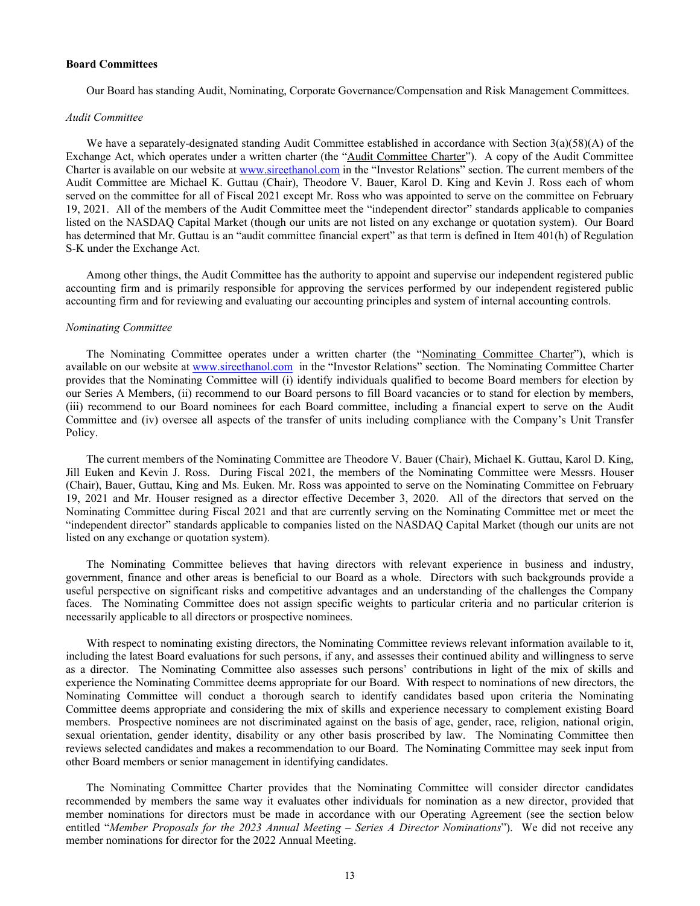#### **Board Committees**

Our Board has standing Audit, Nominating, Corporate Governance/Compensation and Risk Management Committees.

#### *Audit Committee*

We have a separately-designated standing Audit Committee established in accordance with Section 3(a)(58)(A) of the Exchange Act, which operates under a written charter (the "Audit Committee Charter"). A copy of the Audit Committee Charter is available on our website at www.sireethanol.com in the "Investor Relations" section. The current members of the Audit Committee are Michael K. Guttau (Chair), Theodore V. Bauer, Karol D. King and Kevin J. Ross each of whom served on the committee for all of Fiscal 2021 except Mr. Ross who was appointed to serve on the committee on February 19, 2021. All of the members of the Audit Committee meet the "independent director" standards applicable to companies listed on the NASDAQ Capital Market (though our units are not listed on any exchange or quotation system). Our Board has determined that Mr. Guttau is an "audit committee financial expert" as that term is defined in Item 401(h) of Regulation S-K under the Exchange Act.

Among other things, the Audit Committee has the authority to appoint and supervise our independent registered public accounting firm and is primarily responsible for approving the services performed by our independent registered public accounting firm and for reviewing and evaluating our accounting principles and system of internal accounting controls.

## *Nominating Committee*

The Nominating Committee operates under a written charter (the "Nominating Committee Charter"), which is available on our website at www.sireethanol.com in the "Investor Relations" section. The Nominating Committee Charter provides that the Nominating Committee will (i) identify individuals qualified to become Board members for election by our Series A Members, (ii) recommend to our Board persons to fill Board vacancies or to stand for election by members, (iii) recommend to our Board nominees for each Board committee, including a financial expert to serve on the Audit Committee and (iv) oversee all aspects of the transfer of units including compliance with the Company's Unit Transfer Policy.

The current members of the Nominating Committee are Theodore V. Bauer (Chair), Michael K. Guttau, Karol D. King, Jill Euken and Kevin J. Ross. During Fiscal 2021, the members of the Nominating Committee were Messrs. Houser (Chair), Bauer, Guttau, King and Ms. Euken. Mr. Ross was appointed to serve on the Nominating Committee on February 19, 2021 and Mr. Houser resigned as a director effective December 3, 2020. All of the directors that served on the Nominating Committee during Fiscal 2021 and that are currently serving on the Nominating Committee met or meet the "independent director" standards applicable to companies listed on the NASDAQ Capital Market (though our units are not listed on any exchange or quotation system).

The Nominating Committee believes that having directors with relevant experience in business and industry, government, finance and other areas is beneficial to our Board as a whole. Directors with such backgrounds provide a useful perspective on significant risks and competitive advantages and an understanding of the challenges the Company faces. The Nominating Committee does not assign specific weights to particular criteria and no particular criterion is necessarily applicable to all directors or prospective nominees.

With respect to nominating existing directors, the Nominating Committee reviews relevant information available to it, including the latest Board evaluations for such persons, if any, and assesses their continued ability and willingness to serve as a director. The Nominating Committee also assesses such persons' contributions in light of the mix of skills and experience the Nominating Committee deems appropriate for our Board. With respect to nominations of new directors, the Nominating Committee will conduct a thorough search to identify candidates based upon criteria the Nominating Committee deems appropriate and considering the mix of skills and experience necessary to complement existing Board members. Prospective nominees are not discriminated against on the basis of age, gender, race, religion, national origin, sexual orientation, gender identity, disability or any other basis proscribed by law. The Nominating Committee then reviews selected candidates and makes a recommendation to our Board. The Nominating Committee may seek input from other Board members or senior management in identifying candidates.

The Nominating Committee Charter provides that the Nominating Committee will consider director candidates recommended by members the same way it evaluates other individuals for nomination as a new director, provided that member nominations for directors must be made in accordance with our Operating Agreement (see the section below entitled "*Member Proposals for the 2023 Annual Meeting – Series A Director Nominations*"). We did not receive any member nominations for director for the 2022 Annual Meeting.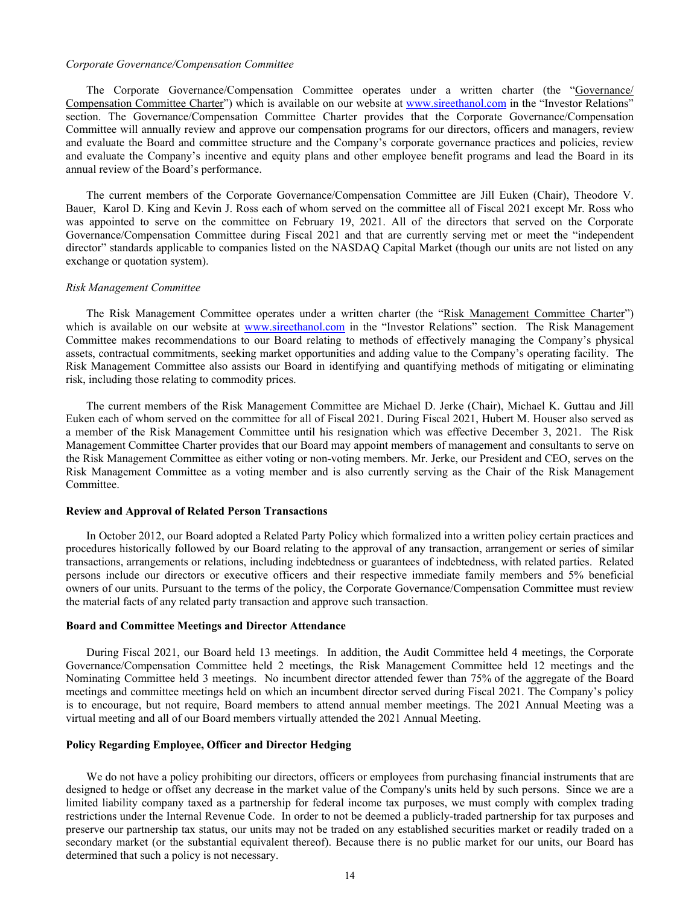#### *Corporate Governance/Compensation Committee*

The Corporate Governance/Compensation Committee operates under a written charter (the "Governance/ Compensation Committee Charter") which is available on our website at www.sireethanol.com in the "Investor Relations" section. The Governance/Compensation Committee Charter provides that the Corporate Governance/Compensation Committee will annually review and approve our compensation programs for our directors, officers and managers, review and evaluate the Board and committee structure and the Company's corporate governance practices and policies, review and evaluate the Company's incentive and equity plans and other employee benefit programs and lead the Board in its annual review of the Board's performance.

The current members of the Corporate Governance/Compensation Committee are Jill Euken (Chair), Theodore V. Bauer, Karol D. King and Kevin J. Ross each of whom served on the committee all of Fiscal 2021 except Mr. Ross who was appointed to serve on the committee on February 19, 2021. All of the directors that served on the Corporate Governance/Compensation Committee during Fiscal 2021 and that are currently serving met or meet the "independent director" standards applicable to companies listed on the NASDAQ Capital Market (though our units are not listed on any exchange or quotation system).

#### *Risk Management Committee*

The Risk Management Committee operates under a written charter (the "Risk Management Committee Charter") which is available on our website at www.sireethanol.com in the "Investor Relations" section. The Risk Management Committee makes recommendations to our Board relating to methods of effectively managing the Company's physical assets, contractual commitments, seeking market opportunities and adding value to the Company's operating facility. The Risk Management Committee also assists our Board in identifying and quantifying methods of mitigating or eliminating risk, including those relating to commodity prices.

The current members of the Risk Management Committee are Michael D. Jerke (Chair), Michael K. Guttau and Jill Euken each of whom served on the committee for all of Fiscal 2021. During Fiscal 2021, Hubert M. Houser also served as a member of the Risk Management Committee until his resignation which was effective December 3, 2021. The Risk Management Committee Charter provides that our Board may appoint members of management and consultants to serve on the Risk Management Committee as either voting or non-voting members. Mr. Jerke, our President and CEO, serves on the Risk Management Committee as a voting member and is also currently serving as the Chair of the Risk Management Committee.

#### **Review and Approval of Related Person Transactions**

In October 2012, our Board adopted a Related Party Policy which formalized into a written policy certain practices and procedures historically followed by our Board relating to the approval of any transaction, arrangement or series of similar transactions, arrangements or relations, including indebtedness or guarantees of indebtedness, with related parties. Related persons include our directors or executive officers and their respective immediate family members and 5% beneficial owners of our units. Pursuant to the terms of the policy, the Corporate Governance/Compensation Committee must review the material facts of any related party transaction and approve such transaction.

#### **Board and Committee Meetings and Director Attendance**

During Fiscal 2021, our Board held 13 meetings. In addition, the Audit Committee held 4 meetings, the Corporate Governance/Compensation Committee held 2 meetings, the Risk Management Committee held 12 meetings and the Nominating Committee held 3 meetings. No incumbent director attended fewer than 75% of the aggregate of the Board meetings and committee meetings held on which an incumbent director served during Fiscal 2021. The Company's policy is to encourage, but not require, Board members to attend annual member meetings. The 2021 Annual Meeting was a virtual meeting and all of our Board members virtually attended the 2021 Annual Meeting.

### **Policy Regarding Employee, Officer and Director Hedging**

We do not have a policy prohibiting our directors, officers or employees from purchasing financial instruments that are designed to hedge or offset any decrease in the market value of the Company's units held by such persons. Since we are a limited liability company taxed as a partnership for federal income tax purposes, we must comply with complex trading restrictions under the Internal Revenue Code. In order to not be deemed a publicly-traded partnership for tax purposes and preserve our partnership tax status, our units may not be traded on any established securities market or readily traded on a secondary market (or the substantial equivalent thereof). Because there is no public market for our units, our Board has determined that such a policy is not necessary.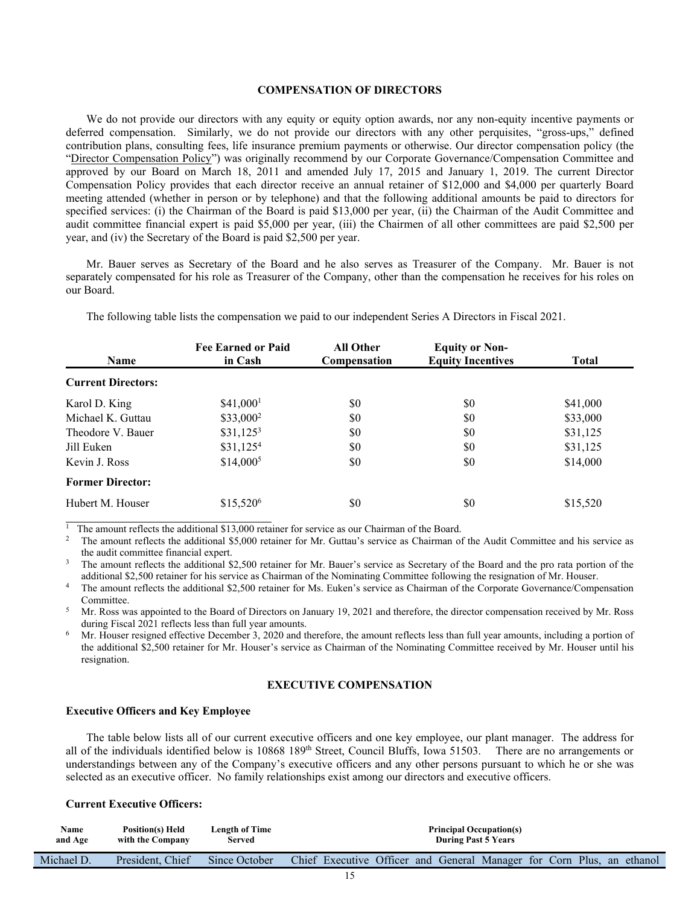#### **COMPENSATION OF DIRECTORS**

We do not provide our directors with any equity or equity option awards, nor any non-equity incentive payments or deferred compensation. Similarly, we do not provide our directors with any other perquisites, "gross-ups," defined contribution plans, consulting fees, life insurance premium payments or otherwise. Our director compensation policy (the "Director Compensation Policy") was originally recommend by our Corporate Governance/Compensation Committee and approved by our Board on March 18, 2011 and amended July 17, 2015 and January 1, 2019. The current Director Compensation Policy provides that each director receive an annual retainer of \$12,000 and \$4,000 per quarterly Board meeting attended (whether in person or by telephone) and that the following additional amounts be paid to directors for specified services: (i) the Chairman of the Board is paid \$13,000 per year, (ii) the Chairman of the Audit Committee and audit committee financial expert is paid \$5,000 per year, (iii) the Chairmen of all other committees are paid \$2,500 per year, and (iv) the Secretary of the Board is paid \$2,500 per year.

 Mr. Bauer serves as Secretary of the Board and he also serves as Treasurer of the Company. Mr. Bauer is not separately compensated for his role as Treasurer of the Company, other than the compensation he receives for his roles on our Board.

| <b>Name</b>               | <b>Fee Earned or Paid</b><br>in Cash | <b>All Other</b><br>Compensation | <b>Equity or Non-</b><br><b>Equity Incentives</b> | <b>Total</b> |
|---------------------------|--------------------------------------|----------------------------------|---------------------------------------------------|--------------|
| <b>Current Directors:</b> |                                      |                                  |                                                   |              |
| Karol D. King             | $$41,000$ <sup>1</sup>               | \$0                              | \$0                                               | \$41,000     |
| Michael K. Guttau         | $$33,000^2$                          | \$0                              | \$0                                               | \$33,000     |
| Theodore V. Bauer         | $$31,125^3$                          | \$0                              | \$0                                               | \$31,125     |
| Jill Euken                | $$31,125^4$                          | \$0                              | SO.                                               | \$31,125     |
| Kevin J. Ross             | $$14,000^5$                          | \$0                              | \$0                                               | \$14,000     |
| <b>Former Director:</b>   |                                      |                                  |                                                   |              |
| Hubert M. Houser          | \$15,520 <sup>6</sup>                | \$0                              | \$0                                               | \$15,520     |

The following table lists the compensation we paid to our independent Series A Directors in Fiscal 2021.

 $\frac{1}{1}$  The amount reflects the additional \$13,000 retainer for service as our Chairman of the Board.<br><sup>2</sup> The amount reflects the additional \$5,000 retainer for Mr. Guttau's service as Chairman of the Audit Committee an the audit committee financial expert.<br><sup>3</sup> The amount reflects the additional \$2,500 retainer for Mr. Bauer's service as Secretary of the Board and the pro rata portion of the

additional \$2,500 retainer for his service as Chairman of the Nominating Committee following the resignation of Mr. Houser.<br>The amount reflects the additional \$2,500 retainer for Ms. Euken's service as Chairman of the Corp

Committee.

Mr. Ross was appointed to the Board of Directors on January 19, 2021 and therefore, the director compensation received by Mr. Ross during Fiscal 2021 reflects less than full year amounts.

Mr. Houser resigned effective December 3, 2020 and therefore, the amount reflects less than full year amounts, including a portion of the additional \$2,500 retainer for Mr. Houser's service as Chairman of the Nominating Committee received by Mr. Houser until his resignation.

#### **EXECUTIVE COMPENSATION**

## **Executive Officers and Key Employee**

The table below lists all of our current executive officers and one key employee, our plant manager. The address for all of the individuals identified below is  $10868\,189$ <sup>th</sup> Street, Council Bluffs, Iowa 51503. There are no arrangements or understandings between any of the Company's executive officers and any other persons pursuant to which he or she was selected as an executive officer. No family relationships exist among our directors and executive officers.

## **Current Executive Officers:**

| Name       | <b>Position(s) Held</b> | Length of Time | <b>Principal Occupation(s)</b>                                        |
|------------|-------------------------|----------------|-----------------------------------------------------------------------|
| and Age    | with the Company        | Served         | <b>During Past 5 Years</b>                                            |
| Michael D. | President. Chief        | Since October  | Chief Executive Officer and General Manager for Corn Plus, an ethanol |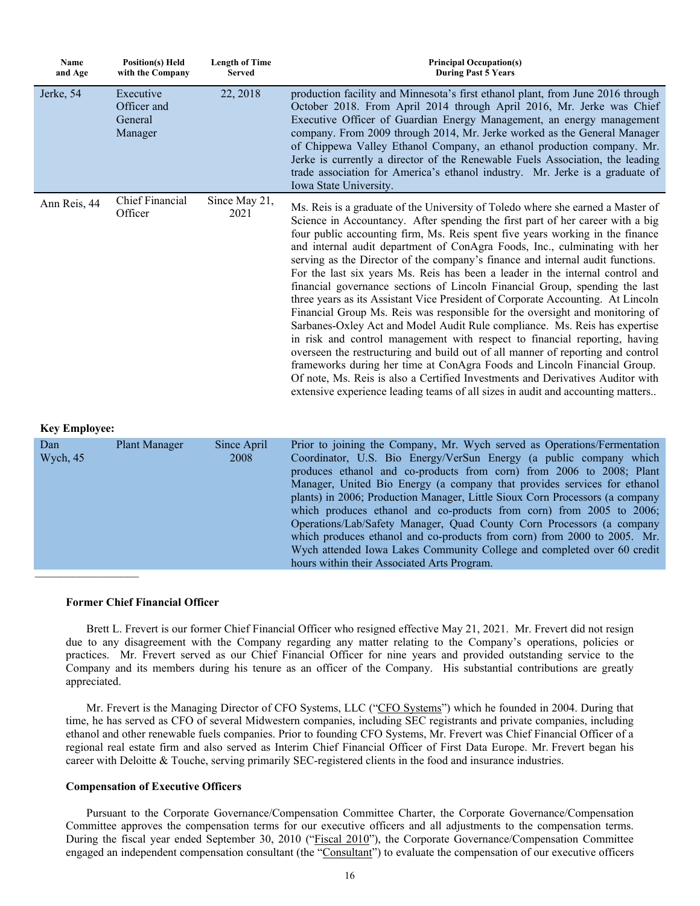| Name<br>and Age | <b>Position(s)</b> Held<br>with the Company    | <b>Length of Time</b><br><b>Served</b> | <b>Principal Occupation(s)</b><br><b>During Past 5 Years</b>                                                                                                                                                                                                                                                                                                                                                                                                                                                                                                                                                                                                                                                                                                                                                                                                                                                                                                                                                                                                                                                                                                                                                                                          |
|-----------------|------------------------------------------------|----------------------------------------|-------------------------------------------------------------------------------------------------------------------------------------------------------------------------------------------------------------------------------------------------------------------------------------------------------------------------------------------------------------------------------------------------------------------------------------------------------------------------------------------------------------------------------------------------------------------------------------------------------------------------------------------------------------------------------------------------------------------------------------------------------------------------------------------------------------------------------------------------------------------------------------------------------------------------------------------------------------------------------------------------------------------------------------------------------------------------------------------------------------------------------------------------------------------------------------------------------------------------------------------------------|
| Jerke, 54       | Executive<br>Officer and<br>General<br>Manager | 22, 2018                               | production facility and Minnesota's first ethanol plant, from June 2016 through<br>October 2018. From April 2014 through April 2016, Mr. Jerke was Chief<br>Executive Officer of Guardian Energy Management, an energy management<br>company. From 2009 through 2014, Mr. Jerke worked as the General Manager<br>of Chippewa Valley Ethanol Company, an ethanol production company. Mr.<br>Jerke is currently a director of the Renewable Fuels Association, the leading<br>trade association for America's ethanol industry. Mr. Jerke is a graduate of<br>Iowa State University.                                                                                                                                                                                                                                                                                                                                                                                                                                                                                                                                                                                                                                                                    |
| Ann Reis, 44    | Chief Financial<br>Officer                     | Since May 21,<br>2021                  | Ms. Reis is a graduate of the University of Toledo where she earned a Master of<br>Science in Accountancy. After spending the first part of her career with a big<br>four public accounting firm, Ms. Reis spent five years working in the finance<br>and internal audit department of ConAgra Foods, Inc., culminating with her<br>serving as the Director of the company's finance and internal audit functions.<br>For the last six years Ms. Reis has been a leader in the internal control and<br>financial governance sections of Lincoln Financial Group, spending the last<br>three years as its Assistant Vice President of Corporate Accounting. At Lincoln<br>Financial Group Ms. Reis was responsible for the oversight and monitoring of<br>Sarbanes-Oxley Act and Model Audit Rule compliance. Ms. Reis has expertise<br>in risk and control management with respect to financial reporting, having<br>overseen the restructuring and build out of all manner of reporting and control<br>frameworks during her time at ConAgra Foods and Lincoln Financial Group.<br>Of note, Ms. Reis is also a Certified Investments and Derivatives Auditor with<br>extensive experience leading teams of all sizes in audit and accounting matters |

### **Key Employee:**

| Dan<br>Wych, 45 | Plant Manager | Since April<br>2008 | Prior to joining the Company, Mr. Wych served as Operations/Fermentation<br>Coordinator, U.S. Bio Energy/VerSun Energy (a public company which<br>produces ethanol and co-products from corn) from 2006 to 2008; Plant<br>Manager, United Bio Energy (a company that provides services for ethanol<br>plants) in 2006; Production Manager, Little Sioux Corn Processors (a company<br>which produces ethanol and co-products from corn) from 2005 to 2006;<br>Operations/Lab/Safety Manager, Quad County Corn Processors (a company<br>which produces ethanol and co-products from corn) from 2000 to 2005. Mr.<br>Wych attended Iowa Lakes Community College and completed over 60 credit<br>hours within their Associated Arts Program. |
|-----------------|---------------|---------------------|-------------------------------------------------------------------------------------------------------------------------------------------------------------------------------------------------------------------------------------------------------------------------------------------------------------------------------------------------------------------------------------------------------------------------------------------------------------------------------------------------------------------------------------------------------------------------------------------------------------------------------------------------------------------------------------------------------------------------------------------|
|                 |               |                     |                                                                                                                                                                                                                                                                                                                                                                                                                                                                                                                                                                                                                                                                                                                                           |

## **Former Chief Financial Officer**

Brett L. Frevert is our former Chief Financial Officer who resigned effective May 21, 2021. Mr. Frevert did not resign due to any disagreement with the Company regarding any matter relating to the Company's operations, policies or practices. Mr. Frevert served as our Chief Financial Officer for nine years and provided outstanding service to the Company and its members during his tenure as an officer of the Company. His substantial contributions are greatly appreciated.

Mr. Frevert is the Managing Director of CFO Systems, LLC ("CFO Systems") which he founded in 2004. During that time, he has served as CFO of several Midwestern companies, including SEC registrants and private companies, including ethanol and other renewable fuels companies. Prior to founding CFO Systems, Mr. Frevert was Chief Financial Officer of a regional real estate firm and also served as Interim Chief Financial Officer of First Data Europe. Mr. Frevert began his career with Deloitte & Touche, serving primarily SEC-registered clients in the food and insurance industries.

## **Compensation of Executive Officers**

Pursuant to the Corporate Governance/Compensation Committee Charter, the Corporate Governance/Compensation Committee approves the compensation terms for our executive officers and all adjustments to the compensation terms. During the fiscal year ended September 30, 2010 ("Fiscal 2010"), the Corporate Governance/Compensation Committee engaged an independent compensation consultant (the "Consultant") to evaluate the compensation of our executive officers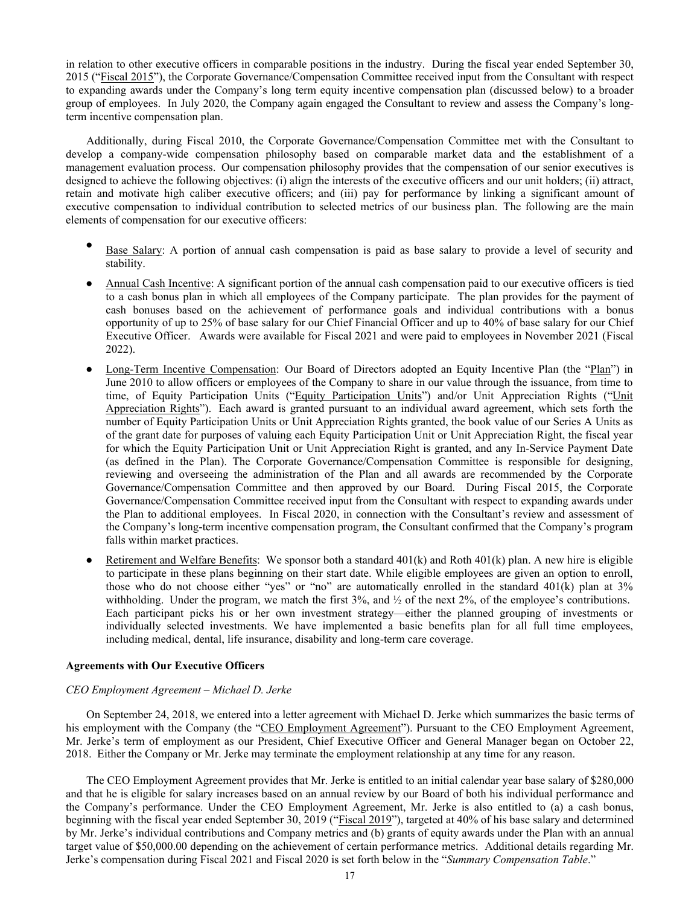in relation to other executive officers in comparable positions in the industry. During the fiscal year ended September 30, 2015 ("Fiscal 2015"), the Corporate Governance/Compensation Committee received input from the Consultant with respect to expanding awards under the Company's long term equity incentive compensation plan (discussed below) to a broader group of employees. In July 2020, the Company again engaged the Consultant to review and assess the Company's longterm incentive compensation plan.

Additionally, during Fiscal 2010, the Corporate Governance/Compensation Committee met with the Consultant to develop a company-wide compensation philosophy based on comparable market data and the establishment of a management evaluation process. Our compensation philosophy provides that the compensation of our senior executives is designed to achieve the following objectives: (i) align the interests of the executive officers and our unit holders; (ii) attract, retain and motivate high caliber executive officers; and (iii) pay for performance by linking a significant amount of executive compensation to individual contribution to selected metrics of our business plan. The following are the main elements of compensation for our executive officers:

- Base Salary: A portion of annual cash compensation is paid as base salary to provide a level of security and stability.
- Annual Cash Incentive: A significant portion of the annual cash compensation paid to our executive officers is tied to a cash bonus plan in which all employees of the Company participate. The plan provides for the payment of cash bonuses based on the achievement of performance goals and individual contributions with a bonus opportunity of up to 25% of base salary for our Chief Financial Officer and up to 40% of base salary for our Chief Executive Officer. Awards were available for Fiscal 2021 and were paid to employees in November 2021 (Fiscal 2022).
- Long-Term Incentive Compensation: Our Board of Directors adopted an Equity Incentive Plan (the "Plan") in June 2010 to allow officers or employees of the Company to share in our value through the issuance, from time to time, of Equity Participation Units ("Equity Participation Units") and/or Unit Appreciation Rights ("Unit Appreciation Rights"). Each award is granted pursuant to an individual award agreement, which sets forth the number of Equity Participation Units or Unit Appreciation Rights granted, the book value of our Series A Units as of the grant date for purposes of valuing each Equity Participation Unit or Unit Appreciation Right, the fiscal year for which the Equity Participation Unit or Unit Appreciation Right is granted, and any In-Service Payment Date (as defined in the Plan). The Corporate Governance/Compensation Committee is responsible for designing, reviewing and overseeing the administration of the Plan and all awards are recommended by the Corporate Governance/Compensation Committee and then approved by our Board. During Fiscal 2015, the Corporate Governance/Compensation Committee received input from the Consultant with respect to expanding awards under the Plan to additional employees. In Fiscal 2020, in connection with the Consultant's review and assessment of the Company's long-term incentive compensation program, the Consultant confirmed that the Company's program falls within market practices.
- $\bullet$  Retirement and Welfare Benefits: We sponsor both a standard 401(k) and Roth 401(k) plan. A new hire is eligible to participate in these plans beginning on their start date. While eligible employees are given an option to enroll, those who do not choose either "yes" or "no" are automatically enrolled in the standard 401(k) plan at 3% withholding. Under the program, we match the first  $3\%$ , and  $\frac{1}{2}$  of the next  $2\%$ , of the employee's contributions. Each participant picks his or her own investment strategy—either the planned grouping of investments or individually selected investments. We have implemented a basic benefits plan for all full time employees, including medical, dental, life insurance, disability and long-term care coverage.

#### **Agreements with Our Executive Officers**

#### *CEO Employment Agreement – Michael D. Jerke*

On September 24, 2018, we entered into a letter agreement with Michael D. Jerke which summarizes the basic terms of his employment with the Company (the "CEO Employment Agreement"). Pursuant to the CEO Employment Agreement, Mr. Jerke's term of employment as our President, Chief Executive Officer and General Manager began on October 22, 2018. Either the Company or Mr. Jerke may terminate the employment relationship at any time for any reason.

The CEO Employment Agreement provides that Mr. Jerke is entitled to an initial calendar year base salary of \$280,000 and that he is eligible for salary increases based on an annual review by our Board of both his individual performance and the Company's performance. Under the CEO Employment Agreement, Mr. Jerke is also entitled to (a) a cash bonus, beginning with the fiscal year ended September 30, 2019 ("Fiscal 2019"), targeted at 40% of his base salary and determined by Mr. Jerke's individual contributions and Company metrics and (b) grants of equity awards under the Plan with an annual target value of \$50,000.00 depending on the achievement of certain performance metrics. Additional details regarding Mr. Jerke's compensation during Fiscal 2021 and Fiscal 2020 is set forth below in the "*Summary Compensation Table*."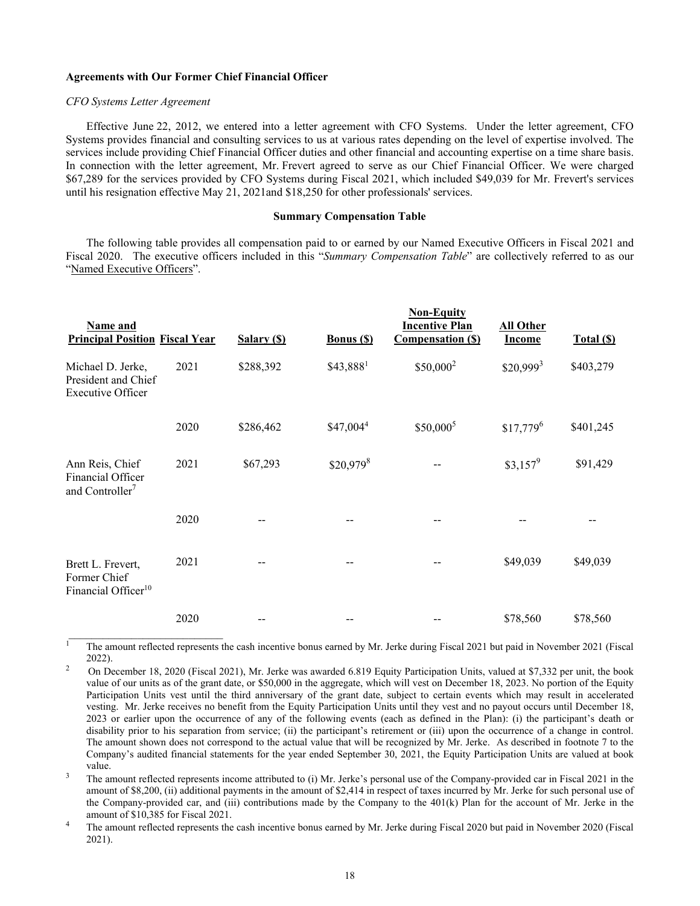#### **Agreements with Our Former Chief Financial Officer**

#### *CFO Systems Letter Agreement*

Effective June 22, 2012, we entered into a letter agreement with CFO Systems. Under the letter agreement, CFO Systems provides financial and consulting services to us at various rates depending on the level of expertise involved. The services include providing Chief Financial Officer duties and other financial and accounting expertise on a time share basis. In connection with the letter agreement, Mr. Frevert agreed to serve as our Chief Financial Officer. We were charged \$67,289 for the services provided by CFO Systems during Fiscal 2021, which included \$49,039 for Mr. Frevert's services until his resignation effective May 21, 2021and \$18,250 for other professionals' services.

#### **Summary Compensation Table**

The following table provides all compensation paid to or earned by our Named Executive Officers in Fiscal 2021 and Fiscal 2020. The executive officers included in this "*Summary Compensation Table*" are collectively referred to as our "Named Executive Officers".

| Name and<br><b>Principal Position Fiscal Year</b>                    |      | Salary (\$) | <b>Bonus</b> (\$)      | <b>Non-Equity</b><br><b>Incentive Plan</b><br><b>Compensation (S)</b> | <b>All Other</b><br><b>Income</b> | Total (\$) |
|----------------------------------------------------------------------|------|-------------|------------------------|-----------------------------------------------------------------------|-----------------------------------|------------|
| Michael D. Jerke,<br>President and Chief<br><b>Executive Officer</b> | 2021 | \$288,392   | \$43,8881              | $$50,000^2$                                                           | $$20,999^3$                       | \$403,279  |
|                                                                      | 2020 | \$286,462   | \$47,0044              | $$50,000^5$                                                           | $$17,779^6$                       | \$401,245  |
| Ann Reis, Chief<br>Financial Officer<br>and Controller <sup>7</sup>  | 2021 | \$67,293    | $$20,979$ <sup>8</sup> |                                                                       | $$3,157^9$                        | \$91,429   |
|                                                                      | 2020 |             |                        |                                                                       |                                   |            |
| Brett L. Frevert,<br>Former Chief<br>Financial Officer <sup>10</sup> | 2021 |             |                        |                                                                       | \$49,039                          | \$49,039   |
|                                                                      | 2020 |             |                        |                                                                       | \$78,560                          | \$78,560   |

<sup>1</sup> The amount reflected represents the cash incentive bonus earned by Mr. Jerke during Fiscal 2021 but paid in November 2021 (Fiscal 2022).<br>2 On December 18, 2020 (Fiscal 2021), Mr. Jerke was awarded 6.819 Equity Participation Units, valued at \$7,332 per unit, the book

value of our units as of the grant date, or \$50,000 in the aggregate, which will vest on December 18, 2023. No portion of the Equity Participation Units vest until the third anniversary of the grant date, subject to certain events which may result in accelerated vesting. Mr. Jerke receives no benefit from the Equity Participation Units until they vest and no payout occurs until December 18, 2023 or earlier upon the occurrence of any of the following events (each as defined in the Plan): (i) the participant's death or disability prior to his separation from service; (ii) the participant's retirement or (iii) upon the occurrence of a change in control. The amount shown does not correspond to the actual value that will be recognized by Mr. Jerke. As described in footnote 7 to the Company's audited financial statements for the year ended September 30, 2021, the Equity Participation Units are valued at book

value.<br><sup>3</sup> The amount reflected represents income attributed to (i) Mr. Jerke's personal use of the Company-provided car in Fiscal 2021 in the amount of \$8,200, (ii) additional payments in the amount of \$2,414 in respect of taxes incurred by Mr. Jerke for such personal use of the Company-provided car, and (iii) contributions made by the Company to the 401(k) Plan for the account of Mr. Jerke in the amount of \$10,385 for Fiscal 2021.<br>The amount reflected represents the cash incentive bonus earned by Mr. Jerke during Fiscal 2020 but paid in November 2020 (Fiscal

2021).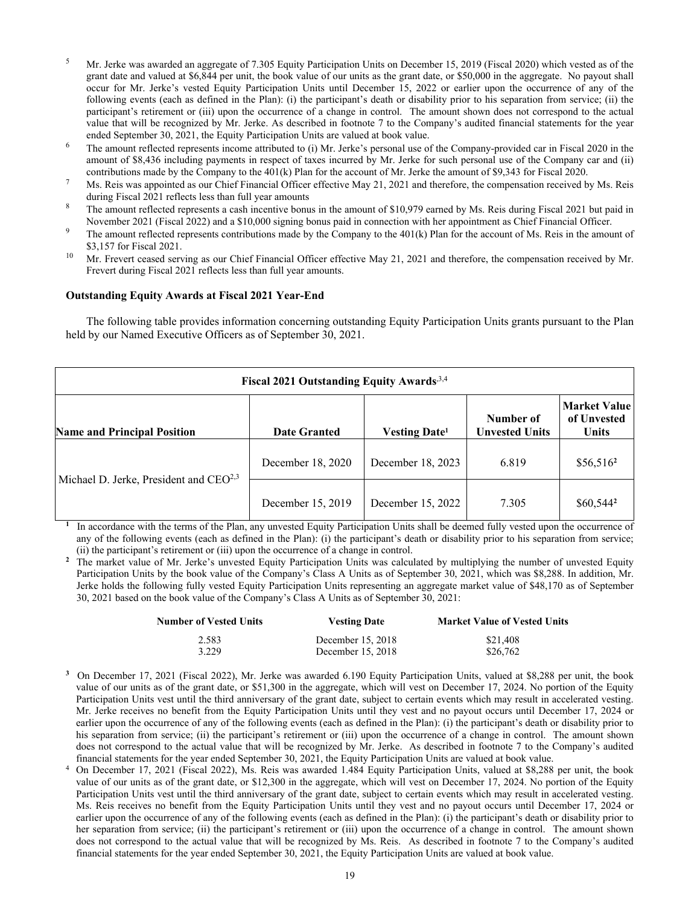- <sup>5</sup> Mr. Jerke was awarded an aggregate of 7.305 Equity Participation Units on December 15, 2019 (Fiscal 2020) which vested as of the grant date and valued at \$6,844 per unit, the book value of our units as the grant date, or \$50,000 in the aggregate. No payout shall occur for Mr. Jerke's vested Equity Participation Units until December 15, 2022 or earlier upon the occurrence of any of the following events (each as defined in the Plan): (i) the participant's death or disability prior to his separation from service; (ii) the participant's retirement or (iii) upon the occurrence of a change in control. The amount shown does not correspond to the actual value that will be recognized by Mr. Jerke. As described in footnote 7 to the Company's audited financial statements for the year
- ended September 30, 2021, the Equity Participation Units are valued at book value.<br><sup>6</sup> The amount reflected represents income attributed to (i) Mr. Jerke's personal use of the Company-provided car in Fiscal 2020 in the amount of \$8,436 including payments in respect of taxes incurred by Mr. Jerke for such personal use of the Company car and (ii)
- contributions made by the Company to the 401(k) Plan for the account of Mr. Jerke the amount of \$9,343 for Fiscal 2020.<br>Ms. Reis was appointed as our Chief Financial Officer effective May 21, 2021 and therefore, the compe during Fiscal 2021 reflects less than full year amounts 8 The amount of \$10,979 earned by Ms. Reis during Fiscal 2021 but paid in
- 
- November 2021 (Fiscal 2022) and a \$10,000 signing bonus paid in connection with her appointment as Chief Financial Officer.<br><sup>9</sup> The amount reflected represents contributions made by the Company to the 401(k) Plan for the a
- \$3,157 for Fiscal 2021.<br><sup>10</sup> Mr. Frevert ceased serving as our Chief Financial Officer effective May 21, 2021 and therefore, the compensation received by Mr. Frevert during Fiscal 2021 reflects less than full year amounts.

## **Outstanding Equity Awards at Fiscal 2021 Year-End**

The following table provides information concerning outstanding Equity Participation Units grants pursuant to the Plan held by our Named Executive Officers as of September 30, 2021.

| Fiscal 2021 Outstanding Equity Awards <sup>3,4</sup> |                     |                                 |                                    |                                                    |  |  |
|------------------------------------------------------|---------------------|---------------------------------|------------------------------------|----------------------------------------------------|--|--|
| <b>Name and Principal Position</b>                   | <b>Date Granted</b> | <b>Vesting Date<sup>1</sup></b> | Number of<br><b>Unvested Units</b> | <b>Market Value</b><br>of Unvested<br><b>Units</b> |  |  |
| Michael D. Jerke, President and CEO <sup>2,3</sup>   | December 18, 2020   | December 18, 2023               | 6.819                              | $$56,516^2$                                        |  |  |
|                                                      | December 15, 2019   | December 15, 2022               | 7.305                              | \$60,5442                                          |  |  |

**<sup>1</sup>**In accordance with the terms of the Plan, any unvested Equity Participation Units shall be deemed fully vested upon the occurrence of any of the following events (each as defined in the Plan): (i) the participant's death or disability prior to his separation from service; (ii) the participant's retirement or (iii) upon the occurrence of a change in control.

<sup>2</sup> The market value of Mr. Jerke's unvested Equity Participation Units was calculated by multiplying the number of unvested Equity Participation Units by the book value of the Company's Class A Units as of September 30, 2021, which was \$8,288. In addition, Mr. Jerke holds the following fully vested Equity Participation Units representing an aggregate market value of \$48,170 as of September 30, 2021 based on the book value of the Company's Class A Units as of September 30, 2021:

| Number of Vested Units | <b>Vesting Date</b> | <b>Market Value of Vested Units</b> |
|------------------------|---------------------|-------------------------------------|
| 2.583                  | December 15, 2018   | \$21,408                            |
| 3.229                  | December $15, 2018$ | \$26,762                            |

- **<sup>3</sup>**On December 17, 2021 (Fiscal 2022), Mr. Jerke was awarded 6.190 Equity Participation Units, valued at \$8,288 per unit, the book value of our units as of the grant date, or \$51,300 in the aggregate, which will vest on December 17, 2024. No portion of the Equity Participation Units vest until the third anniversary of the grant date, subject to certain events which may result in accelerated vesting. Mr. Jerke receives no benefit from the Equity Participation Units until they vest and no payout occurs until December 17, 2024 or earlier upon the occurrence of any of the following events (each as defined in the Plan): (i) the participant's death or disability prior to his separation from service; (ii) the participant's retirement or (iii) upon the occurrence of a change in control. The amount shown does not correspond to the actual value that will be recognized by Mr. Jerke. As described in footnote 7 to the Company's audited financial statements for the year ended September 30, 2021, the Equity Participation Units are valued at book value.<br><sup>4</sup> On December 17, 2021 (Fiscal 2022), Ms. Reis was awarded 1.484 Equity Participation Units, valued at
- value of our units as of the grant date, or \$12,300 in the aggregate, which will vest on December 17, 2024. No portion of the Equity Participation Units vest until the third anniversary of the grant date, subject to certain events which may result in accelerated vesting. Ms. Reis receives no benefit from the Equity Participation Units until they vest and no payout occurs until December 17, 2024 or earlier upon the occurrence of any of the following events (each as defined in the Plan): (i) the participant's death or disability prior to her separation from service; (ii) the participant's retirement or (iii) upon the occurrence of a change in control. The amount shown does not correspond to the actual value that will be recognized by Ms. Reis. As described in footnote 7 to the Company's audited financial statements for the year ended September 30, 2021, the Equity Participation Units are valued at book value.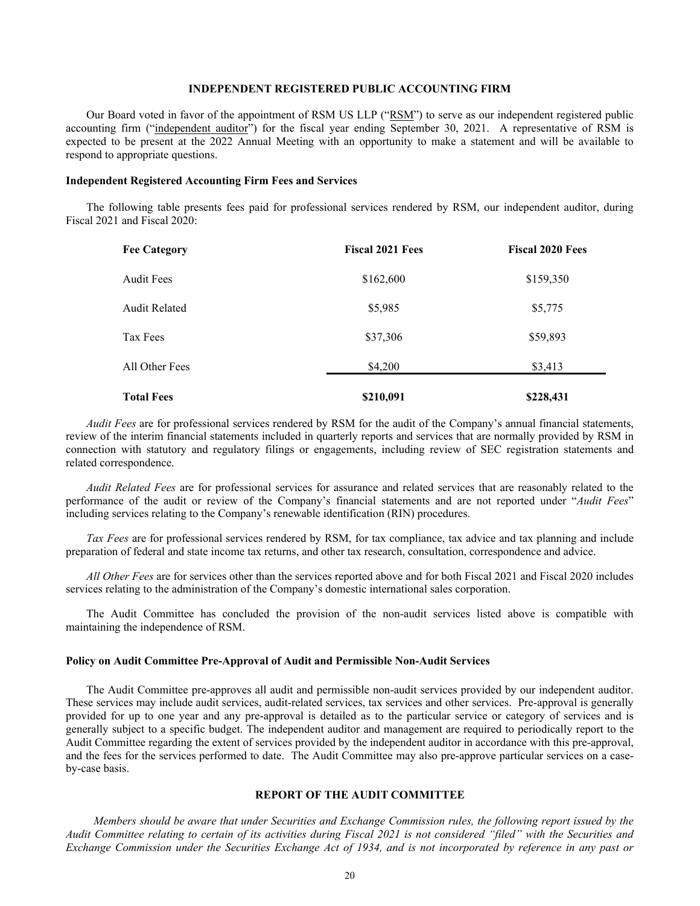## **INDEPENDENT REGISTERED PUBLIC ACCOUNTING FIRM**

Our Board voted in favor of the appointment of RSM US LLP ("RSM") to serve as our independent registered public accounting firm ("independent auditor") for the fiscal year ending September 30, 2021. A representative of RSM is expected to be present at the 2022 Annual Meeting with an opportunity to make a statement and will be available to respond to appropriate questions.

#### **Independent Registered Accounting Firm Fees and Services**

The following table presents fees paid for professional services rendered by RSM, our independent auditor, during Fiscal 2021 and Fiscal 2020:

| <b>Fee Category</b>  | <b>Fiscal 2021 Fees</b> | <b>Fiscal 2020 Fees</b> |
|----------------------|-------------------------|-------------------------|
| <b>Audit Fees</b>    | \$162,600               | \$159,350               |
| <b>Audit Related</b> | \$5,985                 | \$5,775                 |
| Tax Fees             | \$37,306                | \$59,893                |
| All Other Fees       | \$4,200                 | \$3,413                 |
| <b>Total Fees</b>    | \$210,091               | \$228,431               |

*Audit Fees* are for professional services rendered by RSM for the audit of the Company's annual financial statements, review of the interim financial statements included in quarterly reports and services that are normally provided by RSM in connection with statutory and regulatory filings or engagements, including review of SEC registration statements and related correspondence.

*Audit Related Fees* are for professional services for assurance and related services that are reasonably related to the performance of the audit or review of the Company's financial statements and are not reported under "*Audit Fees*" including services relating to the Company's renewable identification (RIN) procedures.

*Tax Fees* are for professional services rendered by RSM, for tax compliance, tax advice and tax planning and include preparation of federal and state income tax returns, and other tax research, consultation, correspondence and advice.

*All Other Fees* are for services other than the services reported above and for both Fiscal 2021 and Fiscal 2020 includes services relating to the administration of the Company's domestic international sales corporation.

The Audit Committee has concluded the provision of the non-audit services listed above is compatible with maintaining the independence of RSM.

#### **Policy on Audit Committee Pre-Approval of Audit and Permissible Non-Audit Services**

The Audit Committee pre-approves all audit and permissible non-audit services provided by our independent auditor. These services may include audit services, audit-related services, tax services and other services. Pre-approval is generally provided for up to one year and any pre-approval is detailed as to the particular service or category of services and is generally subject to a specific budget. The independent auditor and management are required to periodically report to the Audit Committee regarding the extent of services provided by the independent auditor in accordance with this pre-approval, and the fees for the services performed to date. The Audit Committee may also pre-approve particular services on a caseby-case basis.

## **REPORT OF THE AUDIT COMMITTEE**

*Members should be aware that under Securities and Exchange Commission rules, the following report issued by the Audit Committee relating to certain of its activities during Fiscal 2021 is not considered "filed" with the Securities and Exchange Commission under the Securities Exchange Act of 1934, and is not incorporated by reference in any past or*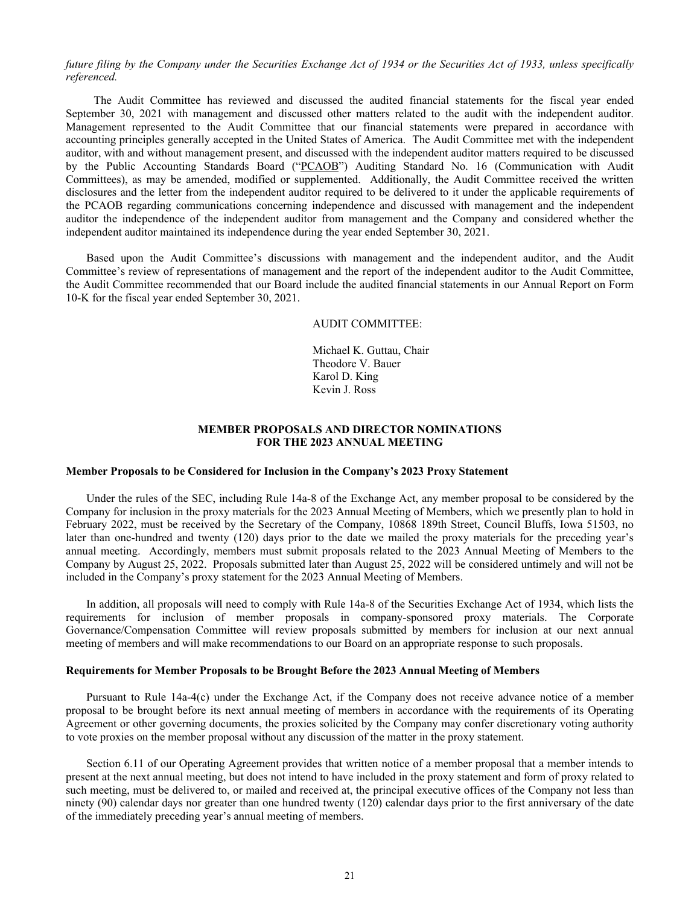## *future filing by the Company under the Securities Exchange Act of 1934 or the Securities Act of 1933, unless specifically referenced.*

The Audit Committee has reviewed and discussed the audited financial statements for the fiscal year ended September 30, 2021 with management and discussed other matters related to the audit with the independent auditor. Management represented to the Audit Committee that our financial statements were prepared in accordance with accounting principles generally accepted in the United States of America. The Audit Committee met with the independent auditor, with and without management present, and discussed with the independent auditor matters required to be discussed by the Public Accounting Standards Board ("PCAOB") Auditing Standard No. 16 (Communication with Audit Committees), as may be amended, modified or supplemented. Additionally, the Audit Committee received the written disclosures and the letter from the independent auditor required to be delivered to it under the applicable requirements of the PCAOB regarding communications concerning independence and discussed with management and the independent auditor the independence of the independent auditor from management and the Company and considered whether the independent auditor maintained its independence during the year ended September 30, 2021.

Based upon the Audit Committee's discussions with management and the independent auditor, and the Audit Committee's review of representations of management and the report of the independent auditor to the Audit Committee, the Audit Committee recommended that our Board include the audited financial statements in our Annual Report on Form 10-K for the fiscal year ended September 30, 2021.

#### AUDIT COMMITTEE:

Michael K. Guttau, Chair Theodore V. Bauer Karol D. King Kevin J. Ross

## **MEMBER PROPOSALS AND DIRECTOR NOMINATIONS FOR THE 2023 ANNUAL MEETING**

## **Member Proposals to be Considered for Inclusion in the Company's 2023 Proxy Statement**

Under the rules of the SEC, including Rule 14a-8 of the Exchange Act, any member proposal to be considered by the Company for inclusion in the proxy materials for the 2023 Annual Meeting of Members, which we presently plan to hold in February 2022, must be received by the Secretary of the Company, 10868 189th Street, Council Bluffs, Iowa 51503, no later than one-hundred and twenty (120) days prior to the date we mailed the proxy materials for the preceding year's annual meeting. Accordingly, members must submit proposals related to the 2023 Annual Meeting of Members to the Company by August 25, 2022. Proposals submitted later than August 25, 2022 will be considered untimely and will not be included in the Company's proxy statement for the 2023 Annual Meeting of Members.

In addition, all proposals will need to comply with Rule 14a-8 of the Securities Exchange Act of 1934, which lists the requirements for inclusion of member proposals in company-sponsored proxy materials. The Corporate Governance/Compensation Committee will review proposals submitted by members for inclusion at our next annual meeting of members and will make recommendations to our Board on an appropriate response to such proposals.

#### **Requirements for Member Proposals to be Brought Before the 2023 Annual Meeting of Members**

Pursuant to Rule 14a-4(c) under the Exchange Act, if the Company does not receive advance notice of a member proposal to be brought before its next annual meeting of members in accordance with the requirements of its Operating Agreement or other governing documents, the proxies solicited by the Company may confer discretionary voting authority to vote proxies on the member proposal without any discussion of the matter in the proxy statement.

Section 6.11 of our Operating Agreement provides that written notice of a member proposal that a member intends to present at the next annual meeting, but does not intend to have included in the proxy statement and form of proxy related to such meeting, must be delivered to, or mailed and received at, the principal executive offices of the Company not less than ninety (90) calendar days nor greater than one hundred twenty (120) calendar days prior to the first anniversary of the date of the immediately preceding year's annual meeting of members.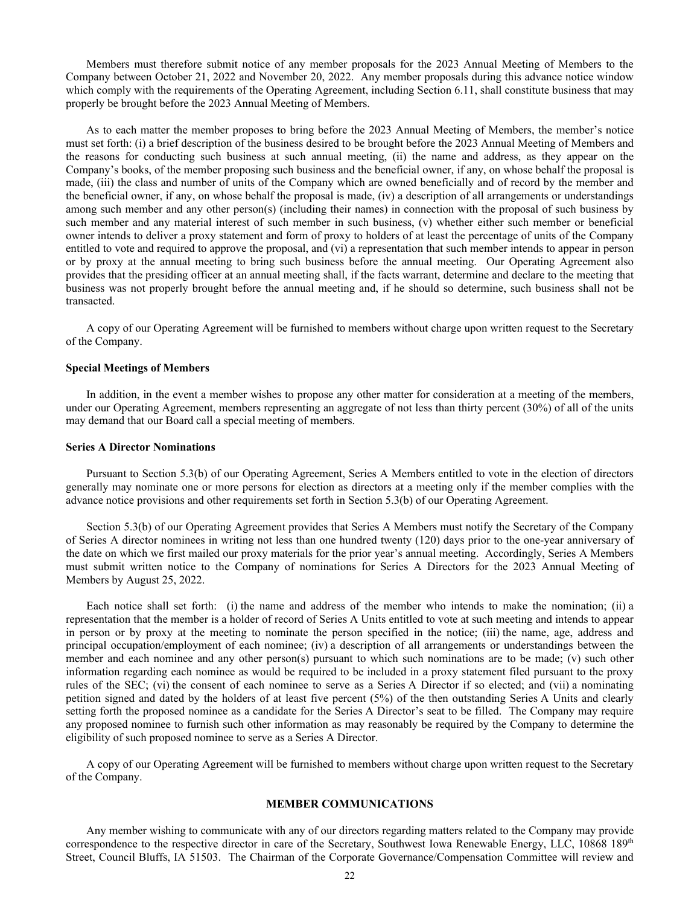Members must therefore submit notice of any member proposals for the 2023 Annual Meeting of Members to the Company between October 21, 2022 and November 20, 2022. Any member proposals during this advance notice window which comply with the requirements of the Operating Agreement, including Section 6.11, shall constitute business that may properly be brought before the 2023 Annual Meeting of Members.

As to each matter the member proposes to bring before the 2023 Annual Meeting of Members, the member's notice must set forth: (i) a brief description of the business desired to be brought before the 2023 Annual Meeting of Members and the reasons for conducting such business at such annual meeting, (ii) the name and address, as they appear on the Company's books, of the member proposing such business and the beneficial owner, if any, on whose behalf the proposal is made, (iii) the class and number of units of the Company which are owned beneficially and of record by the member and the beneficial owner, if any, on whose behalf the proposal is made, (iv) a description of all arrangements or understandings among such member and any other person(s) (including their names) in connection with the proposal of such business by such member and any material interest of such member in such business, (v) whether either such member or beneficial owner intends to deliver a proxy statement and form of proxy to holders of at least the percentage of units of the Company entitled to vote and required to approve the proposal, and (vi) a representation that such member intends to appear in person or by proxy at the annual meeting to bring such business before the annual meeting. Our Operating Agreement also provides that the presiding officer at an annual meeting shall, if the facts warrant, determine and declare to the meeting that business was not properly brought before the annual meeting and, if he should so determine, such business shall not be transacted.

A copy of our Operating Agreement will be furnished to members without charge upon written request to the Secretary of the Company.

#### **Special Meetings of Members**

In addition, in the event a member wishes to propose any other matter for consideration at a meeting of the members, under our Operating Agreement, members representing an aggregate of not less than thirty percent (30%) of all of the units may demand that our Board call a special meeting of members.

## **Series A Director Nominations**

Pursuant to Section 5.3(b) of our Operating Agreement, Series A Members entitled to vote in the election of directors generally may nominate one or more persons for election as directors at a meeting only if the member complies with the advance notice provisions and other requirements set forth in Section 5.3(b) of our Operating Agreement.

Section 5.3(b) of our Operating Agreement provides that Series A Members must notify the Secretary of the Company of Series A director nominees in writing not less than one hundred twenty (120) days prior to the one-year anniversary of the date on which we first mailed our proxy materials for the prior year's annual meeting. Accordingly, Series A Members must submit written notice to the Company of nominations for Series A Directors for the 2023 Annual Meeting of Members by August 25, 2022.

Each notice shall set forth: (i) the name and address of the member who intends to make the nomination; (ii) a representation that the member is a holder of record of Series A Units entitled to vote at such meeting and intends to appear in person or by proxy at the meeting to nominate the person specified in the notice; (iii) the name, age, address and principal occupation/employment of each nominee; (iv) a description of all arrangements or understandings between the member and each nominee and any other person(s) pursuant to which such nominations are to be made; (v) such other information regarding each nominee as would be required to be included in a proxy statement filed pursuant to the proxy rules of the SEC; (vi) the consent of each nominee to serve as a Series A Director if so elected; and (vii) a nominating petition signed and dated by the holders of at least five percent (5%) of the then outstanding Series A Units and clearly setting forth the proposed nominee as a candidate for the Series A Director's seat to be filled. The Company may require any proposed nominee to furnish such other information as may reasonably be required by the Company to determine the eligibility of such proposed nominee to serve as a Series A Director.

A copy of our Operating Agreement will be furnished to members without charge upon written request to the Secretary of the Company.

#### **MEMBER COMMUNICATIONS**

Any member wishing to communicate with any of our directors regarding matters related to the Company may provide correspondence to the respective director in care of the Secretary, Southwest Iowa Renewable Energy, LLC, 10868 189<sup>th</sup> Street, Council Bluffs, IA 51503.The Chairman of the Corporate Governance/Compensation Committee will review and